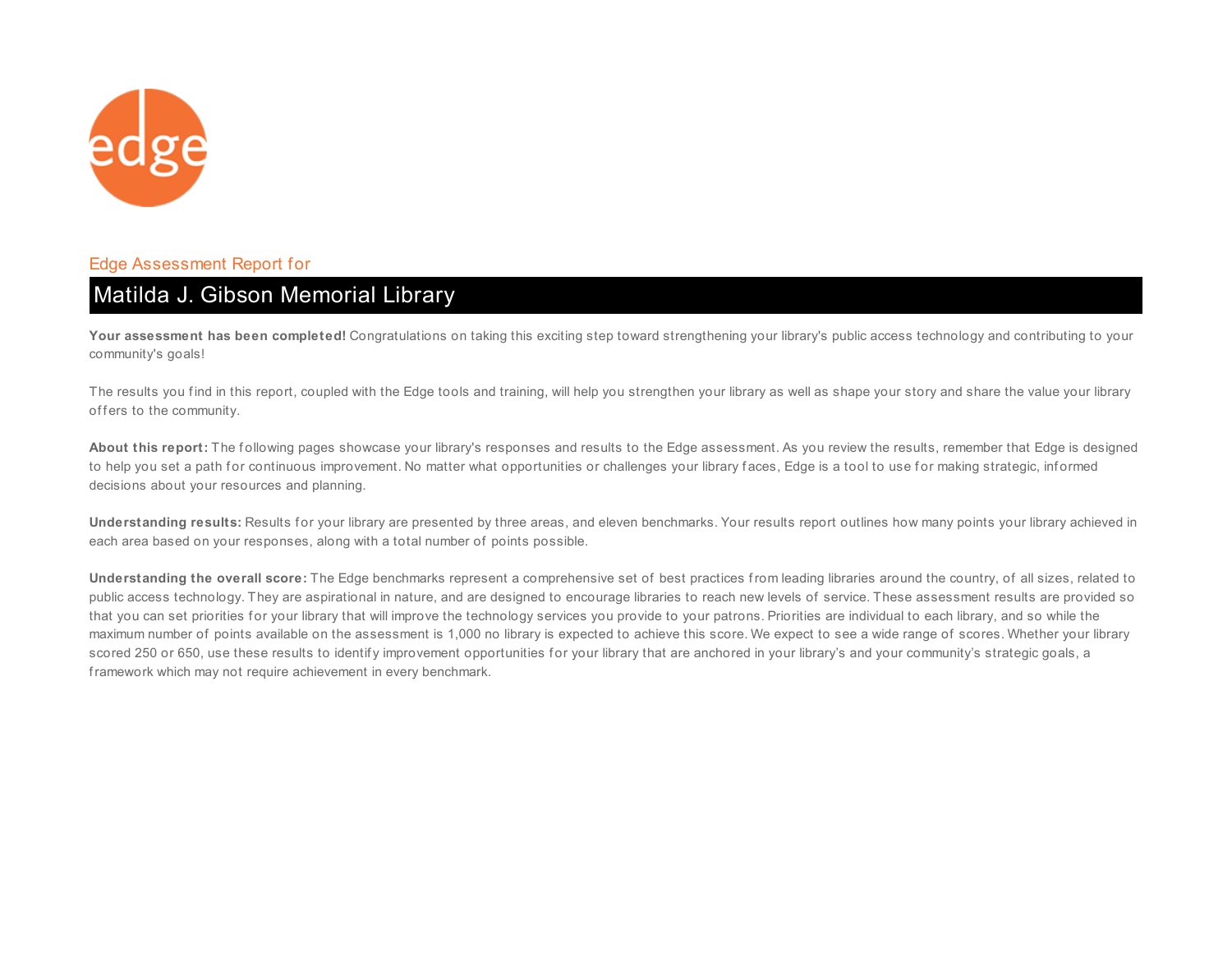

## Edge Assessment Report for

# Matilda J. Gibson Memorial Library

Your assessment has been completed! Congratulations on taking this exciting step toward strengthening your library's public access technology and contributing to your community's goals!

The results you find in this report, coupled with the Edge tools and training, will help you strengthen your library as well as shape your story and share the value your library offers to the community.

About this report: The following pages showcase your library's responses and results to the Edge assessment. As you review the results, remember that Edge is designed to help you set a path for continuous improvement. No matter what opportunities or challenges your library faces, Edge is a tool to use for making strategic, informed decisions about your resources and planning.

**Understanding results:** Results for your library are presented by three areas, and eleven benchmarks. Your results report outlines how many points your library achieved in each area based on your responses, along with a total number of points possible.

**Understanding the overall score:** The Edge benchmarks represent a comprehensive set of best practices from leading libraries around the country, of all sizes, related to public access technology. They are aspirational in nature, and are designed to encourage libraries to reach new levels of service. These assessment results are provided so that you can set priorities for your library that will improve the technology services you provide to your patrons. Priorities are individual to each library, and so while the maximum number of points available on the assessment is 1,000 no library is expected to achieve this score. We expect to see a wide range of scores. Whether your library scored 250 or 650, use these results to identify improvement opportunities for your library that are anchored in your library's and your community's strategic goals, a framework which may not require achievement in every benchmark.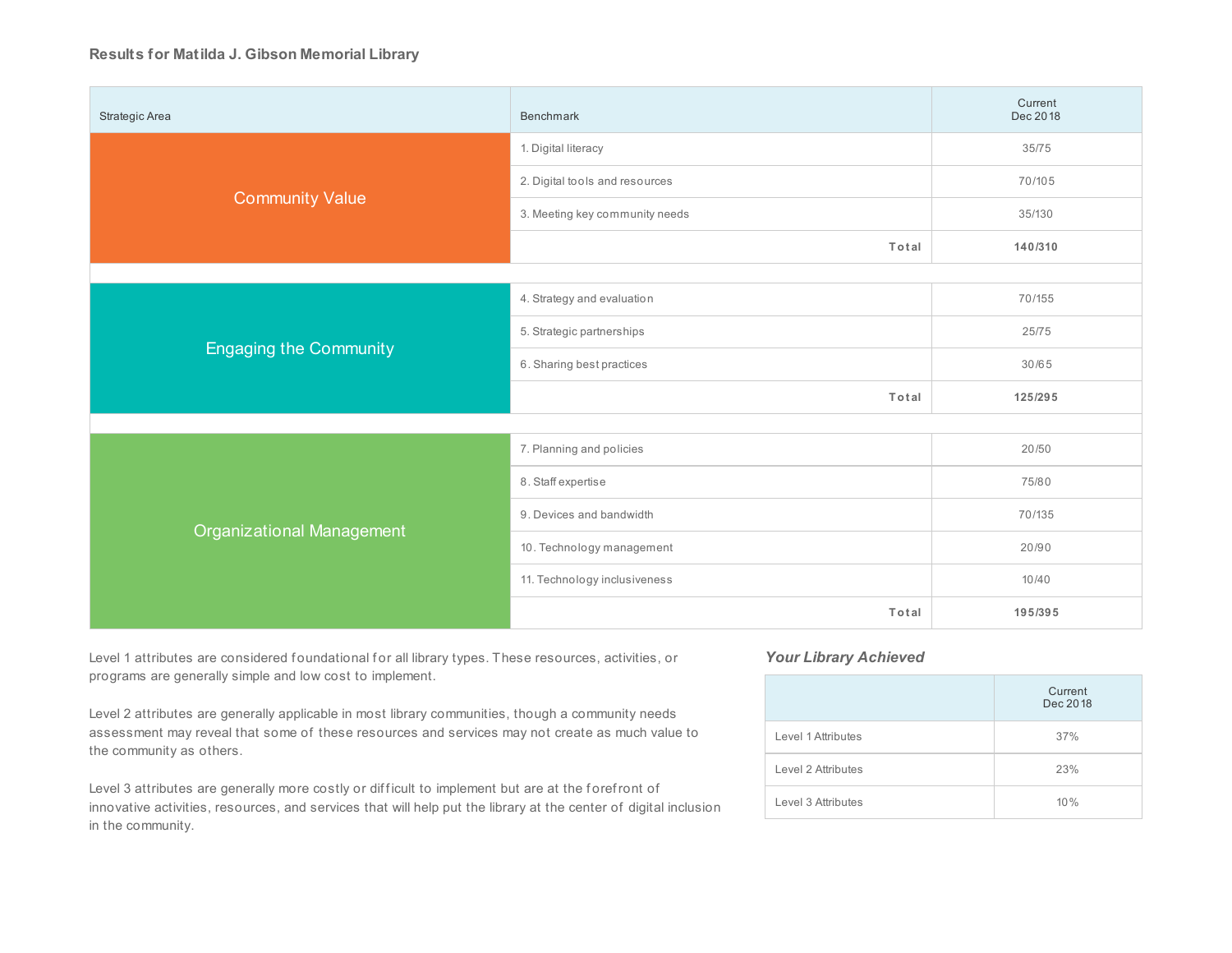#### **Results for Matilda J. Gibson Memorial Library**

| Strategic Area                   | Benchmark                          | Current<br>Dec 2018                                                                |
|----------------------------------|------------------------------------|------------------------------------------------------------------------------------|
|                                  | 1. Digital literacy                | 35/75                                                                              |
|                                  | 2. Digital tools and resources     | 70/105                                                                             |
| <b>Community Value</b>           | 3. Meeting key community needs     | 35/130                                                                             |
|                                  | Total                              | 140/310                                                                            |
|                                  |                                    |                                                                                    |
|                                  | 4. Strategy and evaluation         | 70/155                                                                             |
|                                  | 5. Strategic partnerships          | 25/75<br>30/65<br>125/295<br>20/50<br>75/80<br>70/135<br>20/90<br>10/40<br>195/395 |
| <b>Engaging the Community</b>    | 6. Sharing best practices<br>Total |                                                                                    |
|                                  |                                    |                                                                                    |
|                                  |                                    |                                                                                    |
|                                  | 7. Planning and policies           |                                                                                    |
|                                  | 8. Staff expertise                 |                                                                                    |
|                                  | 9. Devices and bandwidth           |                                                                                    |
| <b>Organizational Management</b> | 10. Technology management          |                                                                                    |
|                                  | 11. Technology inclusiveness       |                                                                                    |
|                                  | Total                              |                                                                                    |

Level 1 attributes are considered foundational for all library types. These resources, activities, or programs are generally simple and low cost to implement.

Level 2 attributes are generally applicable in most library communities, though a community needs assessment may reveal that some of these resources and services may not create as much value to the community as others.

Level 3 attributes are generally more costly or difficult to implement but are at the forefront of innovative activities, resources, and services that will help put the library at the center of digital inclusion in the community.

## *Your Library Achieved*

|                    | Current<br>Dec 2018 |
|--------------------|---------------------|
| Level 1 Attributes | 37%                 |
| Level 2 Attributes | 23%                 |
| Level 3 Attributes | 10%                 |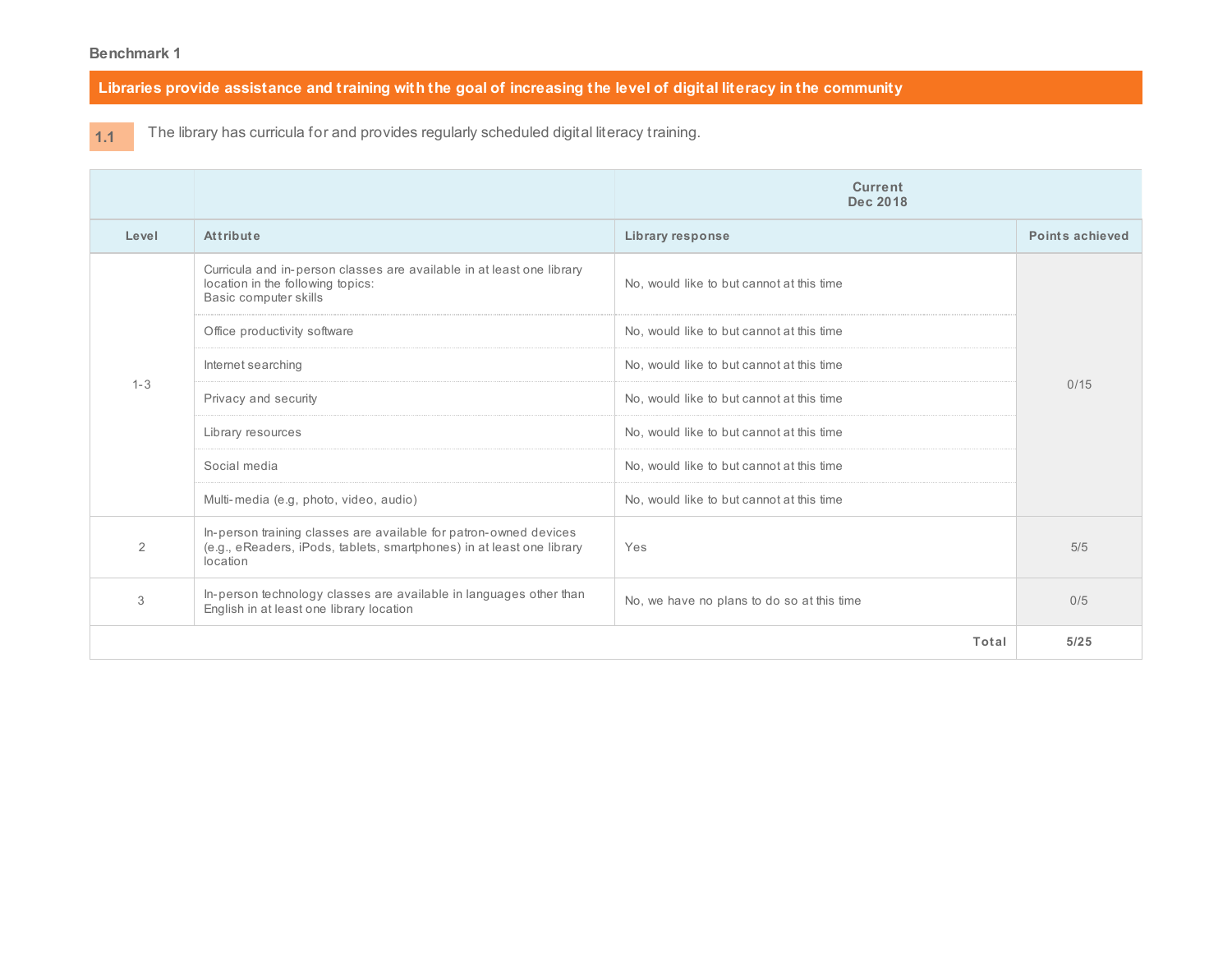Libraries provide assistance and training with the goal of increasing the level of digital literacy in the community

**1.1**

The library has curricula for and provides regularly scheduled digital literacy training.

|         |                                                                                                                                                        | <b>Current</b><br>Dec 2018                 |                 |
|---------|--------------------------------------------------------------------------------------------------------------------------------------------------------|--------------------------------------------|-----------------|
| Level   | Attribute                                                                                                                                              | <b>Library response</b>                    | Points achieved |
|         | Curricula and in-person classes are available in at least one library<br>location in the following topics:<br>Basic computer skills                    | No, would like to but cannot at this time  |                 |
|         | Office productivity software                                                                                                                           | No, would like to but cannot at this time  | 0/15            |
|         | Internet searching                                                                                                                                     | No, would like to but cannot at this time  |                 |
| $1 - 3$ | Privacy and security                                                                                                                                   | No, would like to but cannot at this time  |                 |
|         | Library resources                                                                                                                                      | No, would like to but cannot at this time  |                 |
|         | Social media                                                                                                                                           | No, would like to but cannot at this time  |                 |
|         | Multi-media (e.g, photo, video, audio)                                                                                                                 | No, would like to but cannot at this time  |                 |
| 2       | In-person training classes are available for patron-owned devices<br>(e.g., eReaders, iPods, tablets, smartphones) in at least one library<br>location | Yes                                        | 5/5             |
| 3       | In-person technology classes are available in languages other than<br>English in at least one library location                                         | No, we have no plans to do so at this time | 0/5             |
|         |                                                                                                                                                        | Total                                      | 5/25            |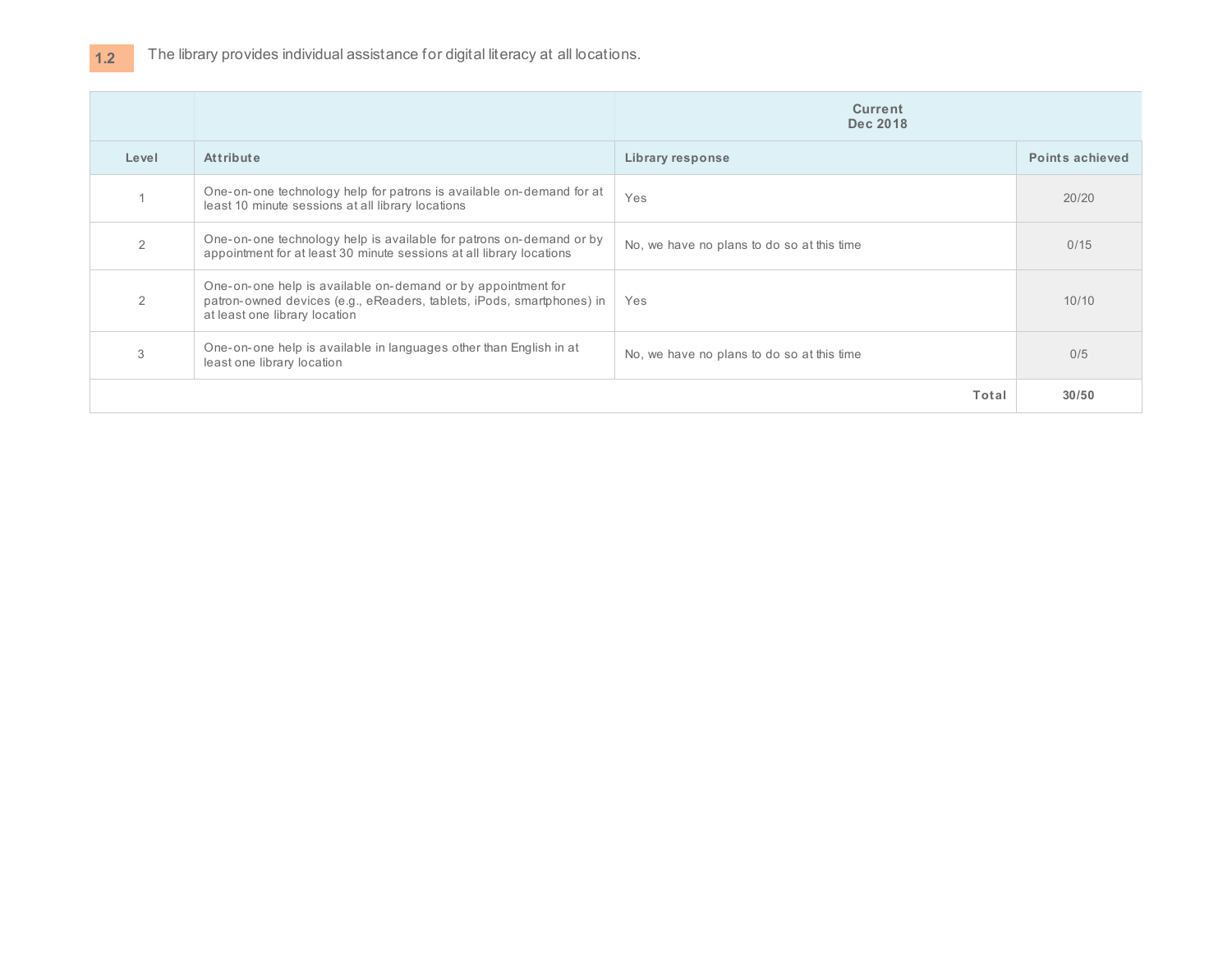|                |                                                                                                                                                                        | <b>Current</b><br>Dec 2018                 |                 |
|----------------|------------------------------------------------------------------------------------------------------------------------------------------------------------------------|--------------------------------------------|-----------------|
| Level          | <b>Attribute</b>                                                                                                                                                       | Library response                           | Points achieved |
|                | One-on-one technology help for patrons is available on-demand for at<br>least 10 minute sessions at all library locations                                              | Yes                                        | 20/20           |
| $\overline{2}$ | One-on-one technology help is available for patrons on-demand or by<br>appointment for at least 30 minute sessions at all library locations                            | No, we have no plans to do so at this time | 0/15            |
|                | One-on-one help is available on-demand or by appointment for<br>patron-owned devices (e.g., eReaders, tablets, iPods, smartphones) in<br>at least one library location | Yes                                        | 10/10           |
| 3              | One-on-one help is available in languages other than English in at<br>least one library location                                                                       | No, we have no plans to do so at this time | 0/5             |
|                |                                                                                                                                                                        | Total                                      | 30/50           |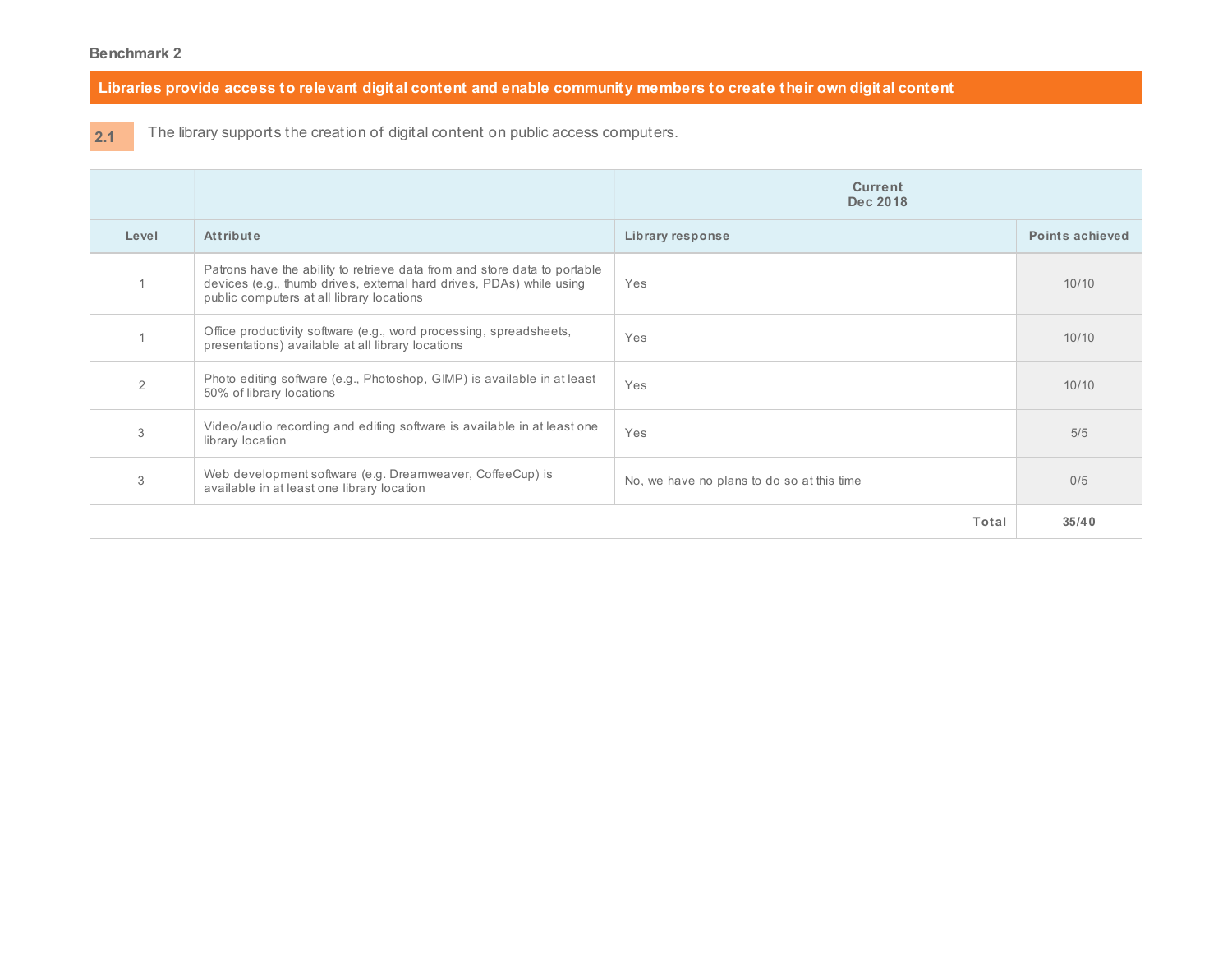Libraries provide access to relevant digital content and enable community members to create their own digital content

**2.1**

The library supports the creation of digital content on public access computers.

|       |                                                                                                                                                                                                | <b>Current</b><br>Dec 2018                 |                 |
|-------|------------------------------------------------------------------------------------------------------------------------------------------------------------------------------------------------|--------------------------------------------|-----------------|
| Level | Attribute                                                                                                                                                                                      | Library response                           | Points achieved |
|       | Patrons have the ability to retrieve data from and store data to portable<br>devices (e.g., thumb drives, external hard drives, PDAs) while using<br>public computers at all library locations | Yes                                        | 10/10           |
|       | Office productivity software (e.g., word processing, spreadsheets,<br>presentations) available at all library locations                                                                        | Yes                                        | 10/10           |
| 2     | Photo editing software (e.g., Photoshop, GIMP) is available in at least<br>50% of library locations                                                                                            | Yes                                        | 10/10           |
| 3     | Video/audio recording and editing software is available in at least one<br>library location                                                                                                    | Yes                                        | 5/5             |
| 3     | Web development software (e.g. Dreamweaver, CoffeeCup) is<br>available in at least one library location                                                                                        | No, we have no plans to do so at this time | 0/5             |
|       |                                                                                                                                                                                                | Total                                      | 35/40           |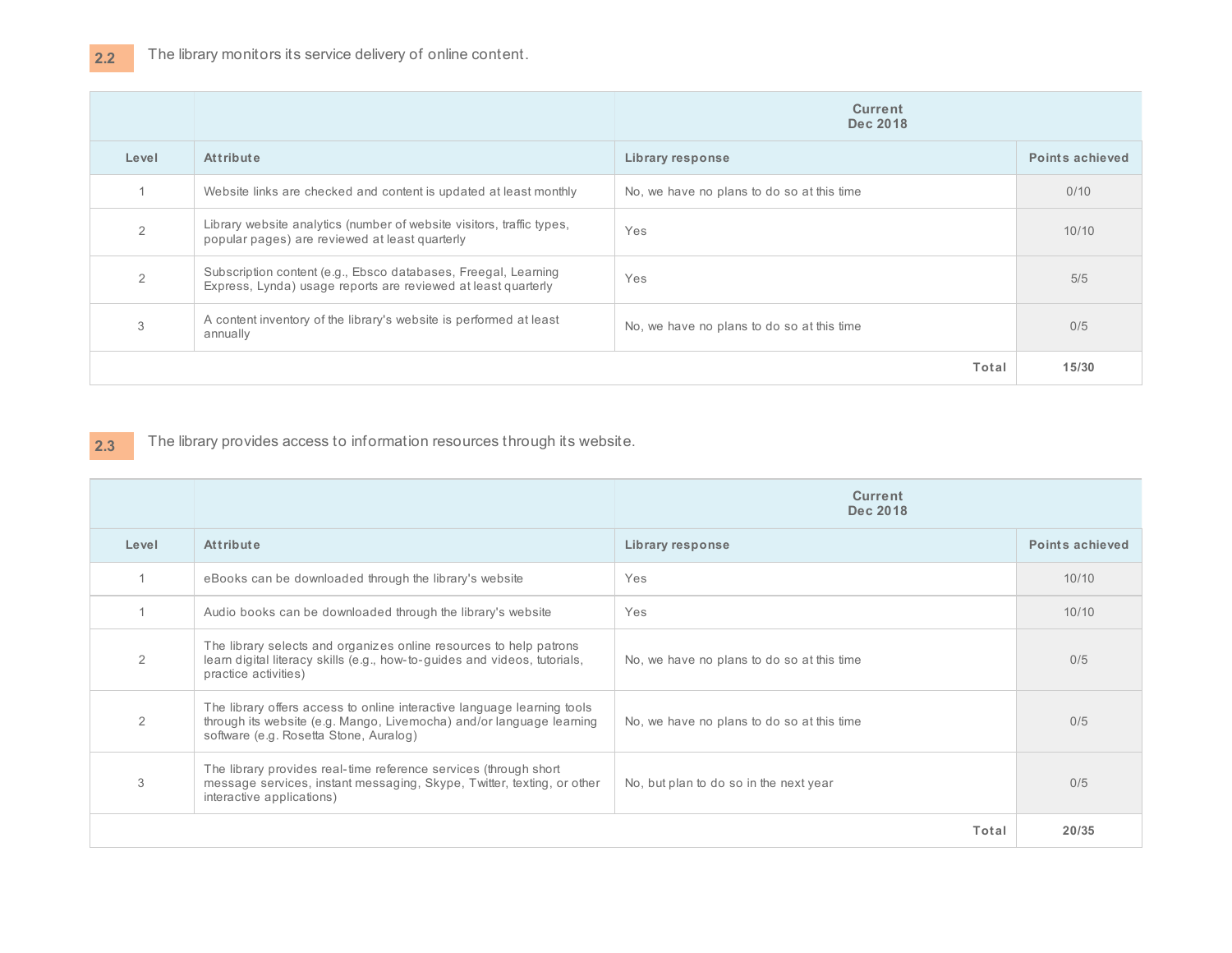|                |                                                                                                                                 | <b>Current</b><br>Dec 2018                 |                        |
|----------------|---------------------------------------------------------------------------------------------------------------------------------|--------------------------------------------|------------------------|
| Level          | <b>Attribute</b>                                                                                                                | Library response                           | <b>Points achieved</b> |
|                | Website links are checked and content is updated at least monthly                                                               | No, we have no plans to do so at this time | 0/10                   |
| $\overline{2}$ | Library website analytics (number of website visitors, traffic types,<br>popular pages) are reviewed at least quarterly         | Yes                                        | 10/10                  |
| $\overline{2}$ | Subscription content (e.g., Ebsco databases, Freegal, Learning<br>Express, Lynda) usage reports are reviewed at least quarterly | Yes                                        | 5/5                    |
| 3              | A content inventory of the library's website is performed at least<br>annually                                                  | No, we have no plans to do so at this time | 0/5                    |
|                |                                                                                                                                 | Total                                      | 15/30                  |

#### **2.3** The library provides access to information resources through its website.

|       |                                                                                                                                                                                           | <b>Current</b><br>Dec 2018                 |                 |
|-------|-------------------------------------------------------------------------------------------------------------------------------------------------------------------------------------------|--------------------------------------------|-----------------|
| Level | Attribute                                                                                                                                                                                 | Library response                           | Points achieved |
|       | eBooks can be downloaded through the library's website                                                                                                                                    | Yes                                        | 10/10           |
|       | Audio books can be downloaded through the library's website                                                                                                                               | Yes                                        | 10/10           |
| 2     | The library selects and organizes online resources to help patrons<br>learn digital literacy skills (e.g., how-to-guides and videos, tutorials,<br>practice activities)                   | No, we have no plans to do so at this time | 0/5             |
| 2     | The library offers access to online interactive language learning tools<br>through its website (e.g. Mango, Livemocha) and/or language learning<br>software (e.g. Rosetta Stone, Auralog) | No, we have no plans to do so at this time | 0/5             |
| 3     | The library provides real-time reference services (through short<br>message services, instant messaging, Skype, Twitter, texting, or other<br>interactive applications)                   | No, but plan to do so in the next year     | 0/5             |
|       |                                                                                                                                                                                           | Total                                      | 20/35           |

**2.2**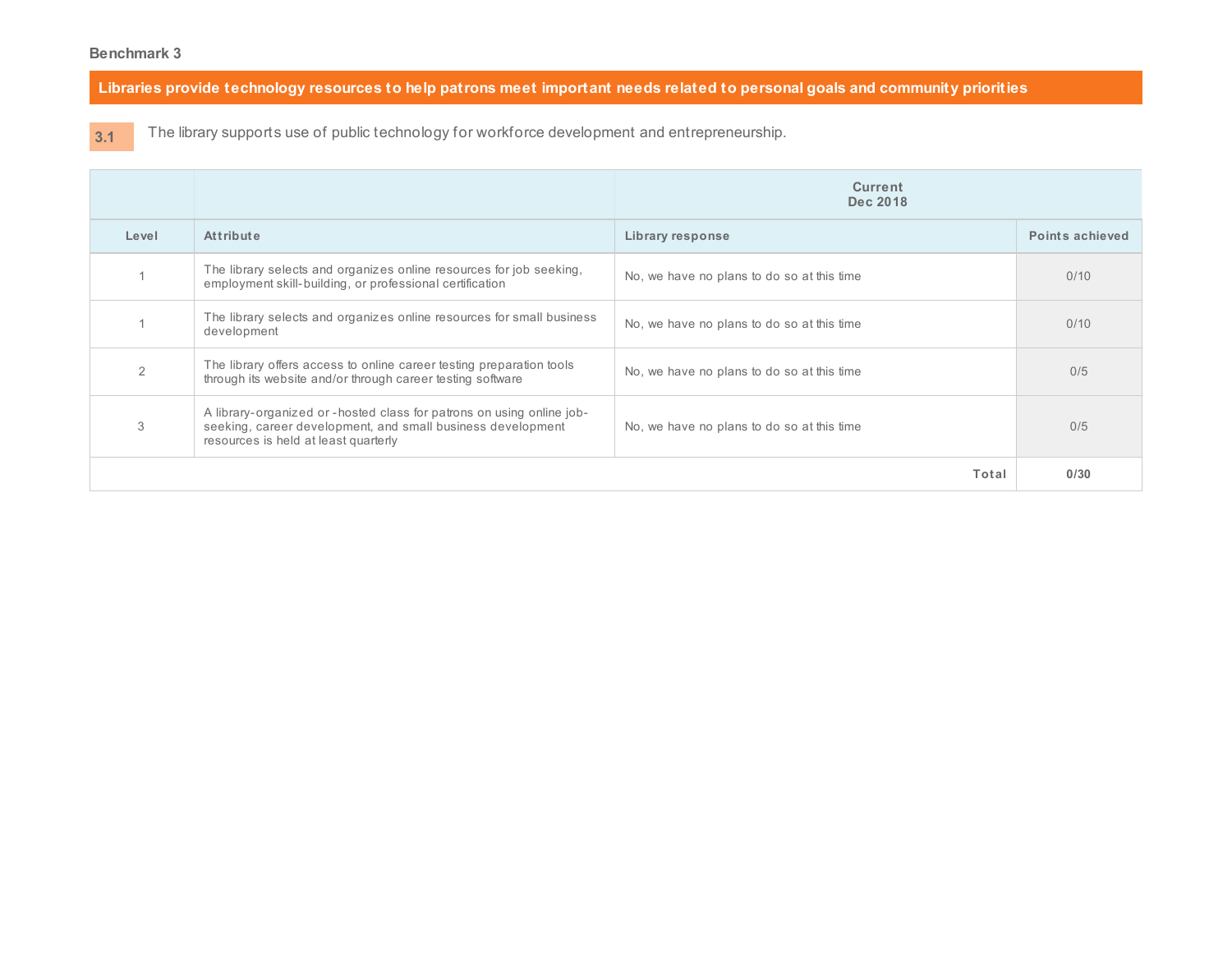Libraries provide technology resources to help patrons meet important needs related to personal goals and community priorities

**3.1** The library supports use of public technology for workforce development and entrepreneurship.

|       |                                                                                                                                                                              | <b>Current</b><br>Dec 2018                 |                 |
|-------|------------------------------------------------------------------------------------------------------------------------------------------------------------------------------|--------------------------------------------|-----------------|
| Level | Attribute                                                                                                                                                                    | Library response                           | Points achieved |
|       | The library selects and organizes online resources for job seeking,<br>employment skill-building, or professional certification                                              | No, we have no plans to do so at this time | 0/10            |
|       | The library selects and organizes online resources for small business<br>development                                                                                         | No, we have no plans to do so at this time | 0/10            |
|       | The library offers access to online career testing preparation tools<br>through its website and/or through career testing software                                           | No, we have no plans to do so at this time | 0/5             |
| 3     | A library-organized or -hosted class for patrons on using online job-<br>seeking, career development, and small business development<br>resources is held at least quarterly | No, we have no plans to do so at this time | 0/5             |
|       |                                                                                                                                                                              | Total                                      | 0/30            |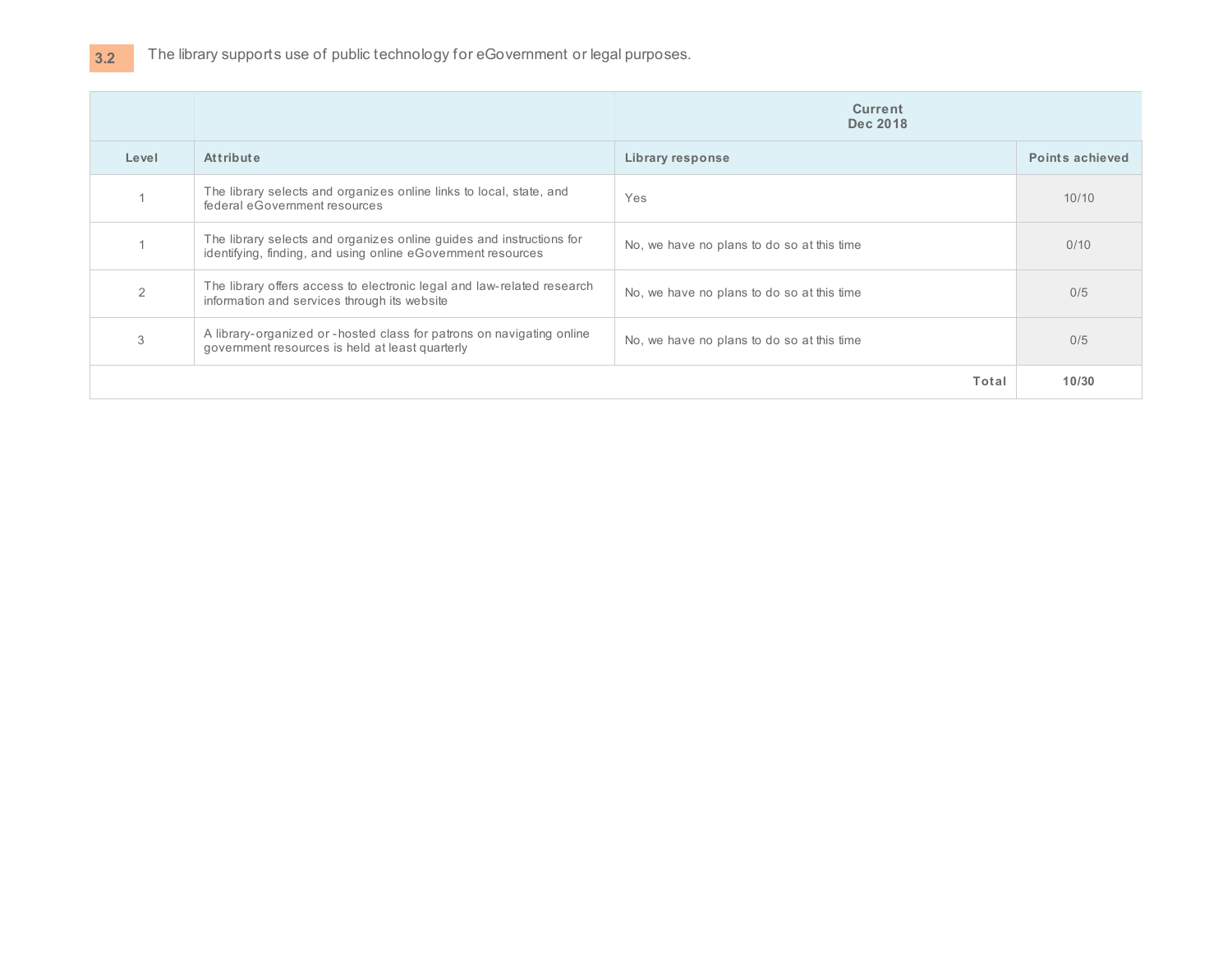|       |                                                                                                                                      | <b>Current</b><br>Dec 2018                 |                 |
|-------|--------------------------------------------------------------------------------------------------------------------------------------|--------------------------------------------|-----------------|
| Level | Attribute                                                                                                                            | Library response                           | Points achieved |
|       | The library selects and organizes online links to local, state, and<br>federal eGovernment resources                                 | Yes                                        | 10/10           |
|       | The library selects and organizes online guides and instructions for<br>identifying, finding, and using online eGovernment resources | No, we have no plans to do so at this time | 0/10            |
|       | The library offers access to electronic legal and law-related research<br>information and services through its website               | No, we have no plans to do so at this time | 0/5             |
| 3     | A library-organized or -hosted class for patrons on navigating online<br>government resources is held at least quarterly             | No, we have no plans to do so at this time | 0/5             |
|       |                                                                                                                                      | Total                                      | 10/30           |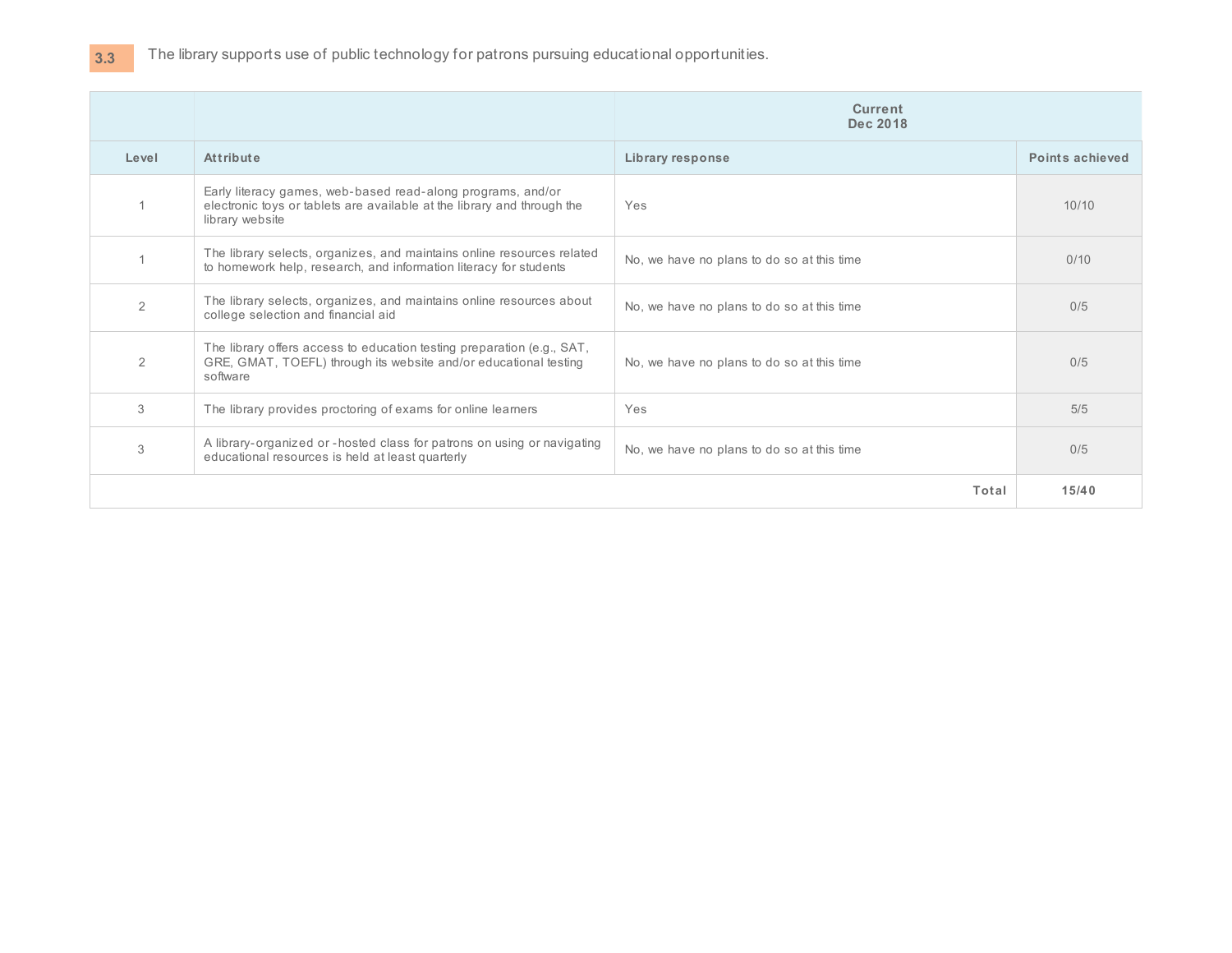|                |                                                                                                                                                           | <b>Current</b><br>Dec 2018                 |                 |
|----------------|-----------------------------------------------------------------------------------------------------------------------------------------------------------|--------------------------------------------|-----------------|
| Level          | Attribute                                                                                                                                                 | Library response                           | Points achieved |
|                | Early literacy games, web-based read-along programs, and/or<br>electronic toys or tablets are available at the library and through the<br>library website | Yes                                        | 10/10           |
|                | The library selects, organizes, and maintains online resources related<br>to homework help, research, and information literacy for students               | No, we have no plans to do so at this time | 0/10            |
| $\overline{2}$ | The library selects, organizes, and maintains online resources about<br>college selection and financial aid                                               | No, we have no plans to do so at this time | 0/5             |
| $\overline{2}$ | The library offers access to education testing preparation (e.g., SAT,<br>GRE, GMAT, TOEFL) through its website and/or educational testing<br>software    | No, we have no plans to do so at this time | 0/5             |
| 3              | The library provides proctoring of exams for online learners                                                                                              | Yes                                        | 5/5             |
| 3              | A library-organized or -hosted class for patrons on using or navigating<br>educational resources is held at least quarterly                               | No, we have no plans to do so at this time | 0/5             |
|                |                                                                                                                                                           | Total                                      | 15/40           |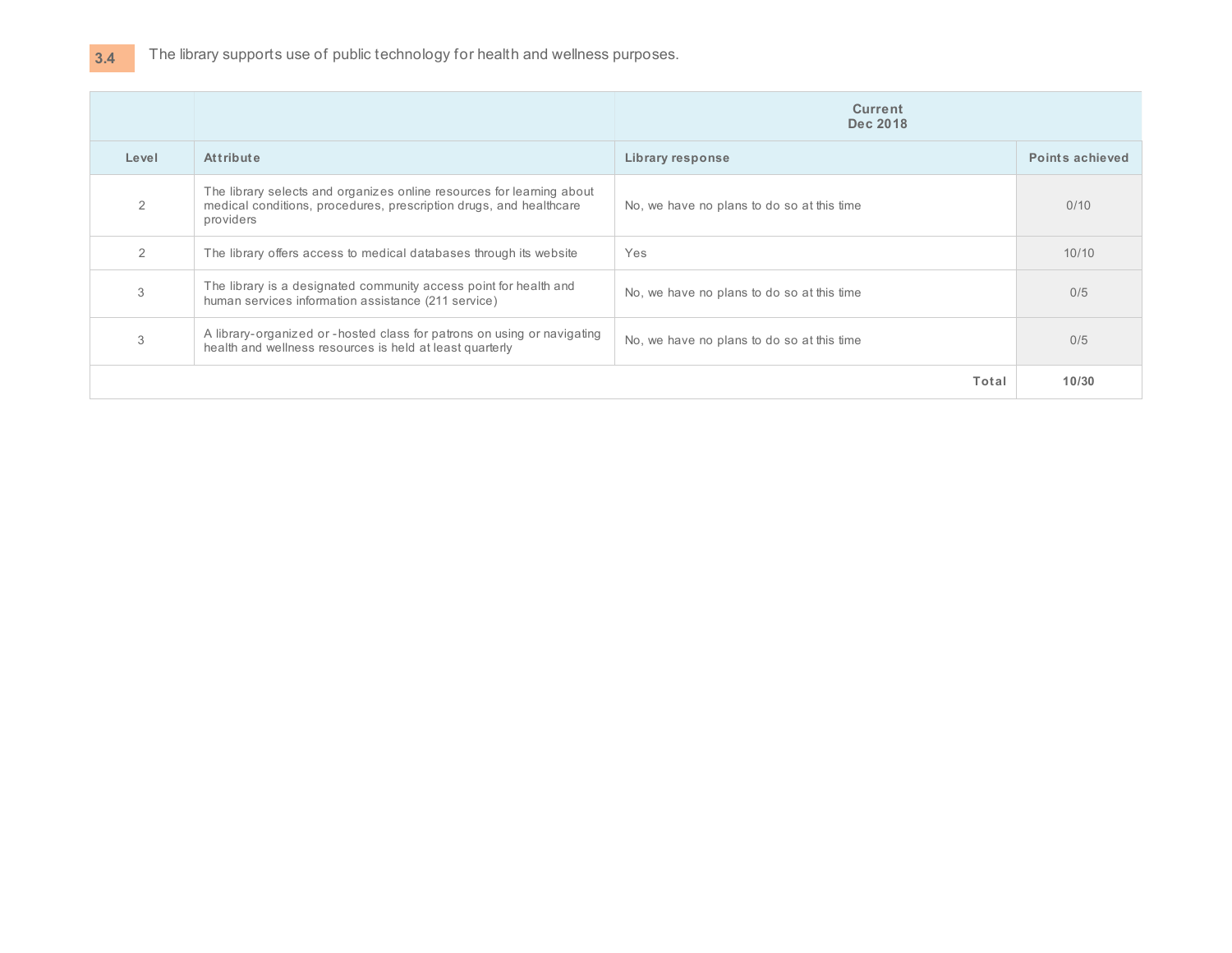## **3.4** The library supports use of public technology for health and wellness purposes.

|       |                                                                                                                                                          | <b>Current</b><br>Dec 2018                 |                 |
|-------|----------------------------------------------------------------------------------------------------------------------------------------------------------|--------------------------------------------|-----------------|
| Level | <b>Attribute</b>                                                                                                                                         | Library response                           | Points achieved |
| 2     | The library selects and organizes online resources for learning about<br>medical conditions, procedures, prescription drugs, and healthcare<br>providers | No, we have no plans to do so at this time | 0/10            |
| 2     | The library offers access to medical databases through its website                                                                                       | Yes                                        | 10/10           |
|       | The library is a designated community access point for health and<br>human services information assistance (211 service)                                 | No, we have no plans to do so at this time | 0/5             |
| 3     | A library-organized or -hosted class for patrons on using or navigating<br>health and wellness resources is held at least quarterly                      | No, we have no plans to do so at this time | 0/5             |
|       |                                                                                                                                                          | Total                                      | 10/30           |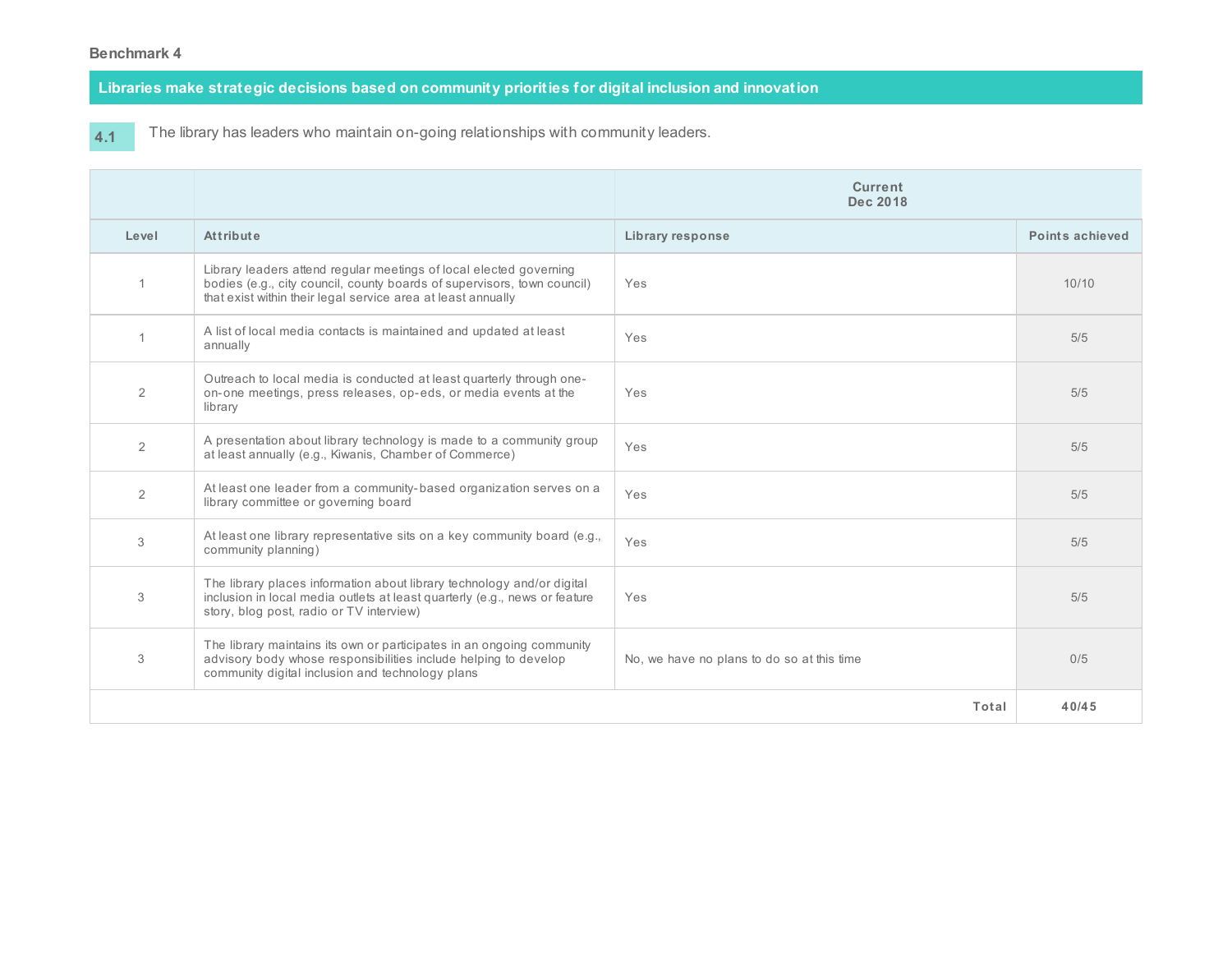**Libraries make strategic decisions based on community priorities for digital inclusion and innovation**

**4.1**

The library has leaders who maintain on-going relationships with community leaders.

|                |                                                                                                                                                                                                               | <b>Current</b><br>Dec 2018                 |                 |
|----------------|---------------------------------------------------------------------------------------------------------------------------------------------------------------------------------------------------------------|--------------------------------------------|-----------------|
| Level          | Attribute                                                                                                                                                                                                     | Library response                           | Points achieved |
| $\mathbf{1}$   | Library leaders attend regular meetings of local elected governing<br>bodies (e.g., city council, county boards of supervisors, town council)<br>that exist within their legal service area at least annually | Yes                                        | 10/10           |
|                | A list of local media contacts is maintained and updated at least<br>annually                                                                                                                                 | Yes                                        | 5/5             |
| $\overline{2}$ | Outreach to local media is conducted at least quarterly through one-<br>on-one meetings, press releases, op-eds, or media events at the<br>library                                                            | Yes                                        | 5/5             |
| $\overline{2}$ | A presentation about library technology is made to a community group<br>at least annually (e.g., Kiwanis, Chamber of Commerce)                                                                                | Yes                                        | 5/5             |
| $\overline{2}$ | At least one leader from a community-based organization serves on a<br>library committee or governing board                                                                                                   | Yes                                        | 5/5             |
| 3              | At least one library representative sits on a key community board (e.g.,<br>community planning)                                                                                                               | Yes                                        | 5/5             |
| 3              | The library places information about library technology and/or digital<br>inclusion in local media outlets at least quarterly (e.g., news or feature<br>story, blog post, radio or TV interview)              | Yes                                        | 5/5             |
| 3              | The library maintains its own or participates in an ongoing community<br>advisory body whose responsibilities include helping to develop<br>community digital inclusion and technology plans                  | No, we have no plans to do so at this time | 0/5             |
|                |                                                                                                                                                                                                               | Total                                      | 40/45           |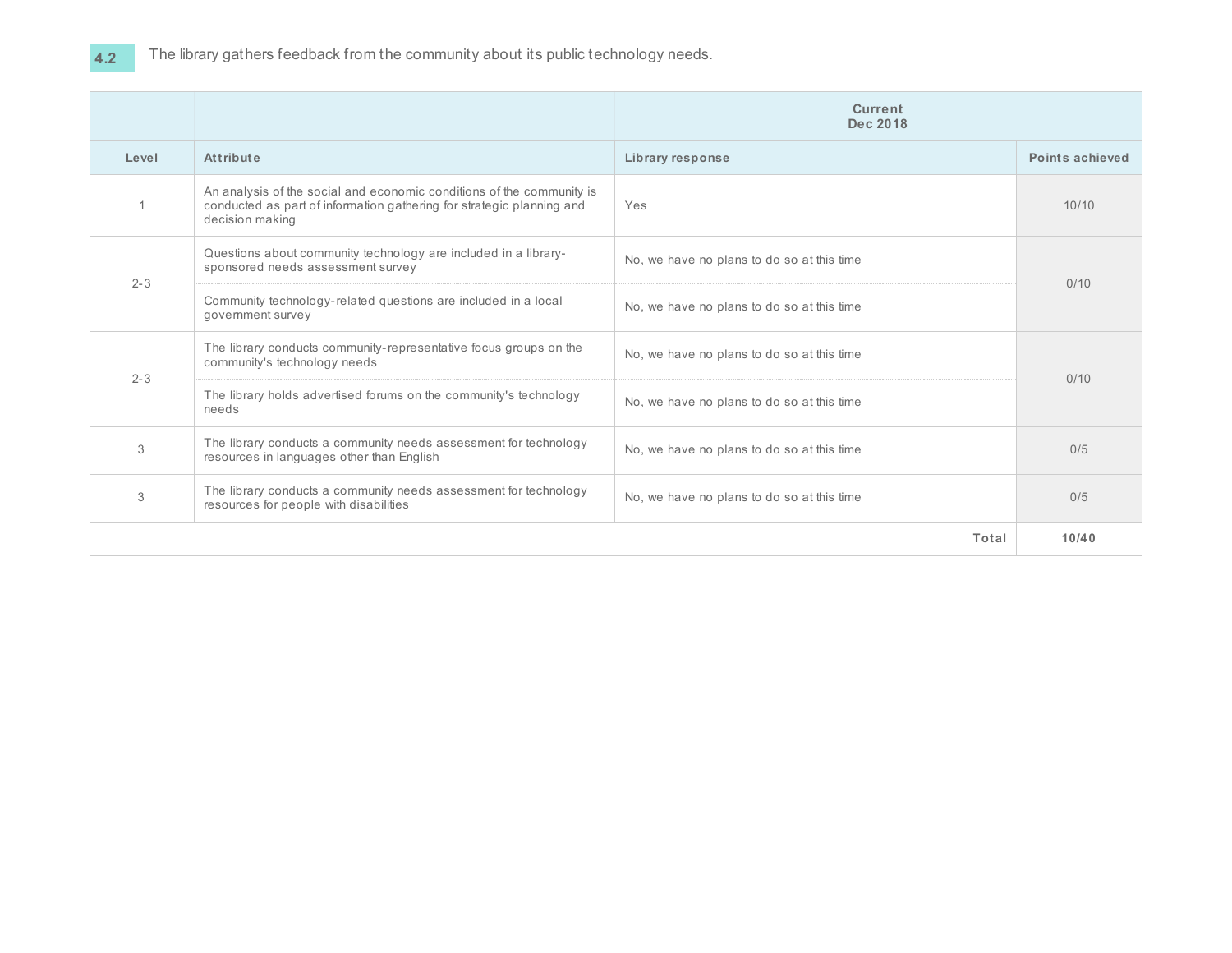|         |                                                                                                                                                                   | <b>Current</b><br>Dec 2018                 |                 |
|---------|-------------------------------------------------------------------------------------------------------------------------------------------------------------------|--------------------------------------------|-----------------|
| Level   | Attribute                                                                                                                                                         | Library response                           | Points achieved |
|         | An analysis of the social and economic conditions of the community is<br>conducted as part of information gathering for strategic planning and<br>decision making | Yes                                        | 10/10           |
| $2 - 3$ | Questions about community technology are included in a library-<br>sponsored needs assessment survey                                                              | No, we have no plans to do so at this time | 0/10            |
|         | Community technology-related questions are included in a local<br>government survey                                                                               | No, we have no plans to do so at this time |                 |
| $2 - 3$ | The library conducts community-representative focus groups on the<br>community's technology needs                                                                 | No, we have no plans to do so at this time | 0/10            |
|         | The library holds advertised forums on the community's technology<br>needs                                                                                        | No, we have no plans to do so at this time |                 |
| 3       | The library conducts a community needs assessment for technology<br>resources in languages other than English                                                     | No, we have no plans to do so at this time | 0/5             |
| 3       | The library conducts a community needs assessment for technology<br>resources for people with disabilities                                                        | No, we have no plans to do so at this time | 0/5             |
|         |                                                                                                                                                                   | Total                                      | 10/40           |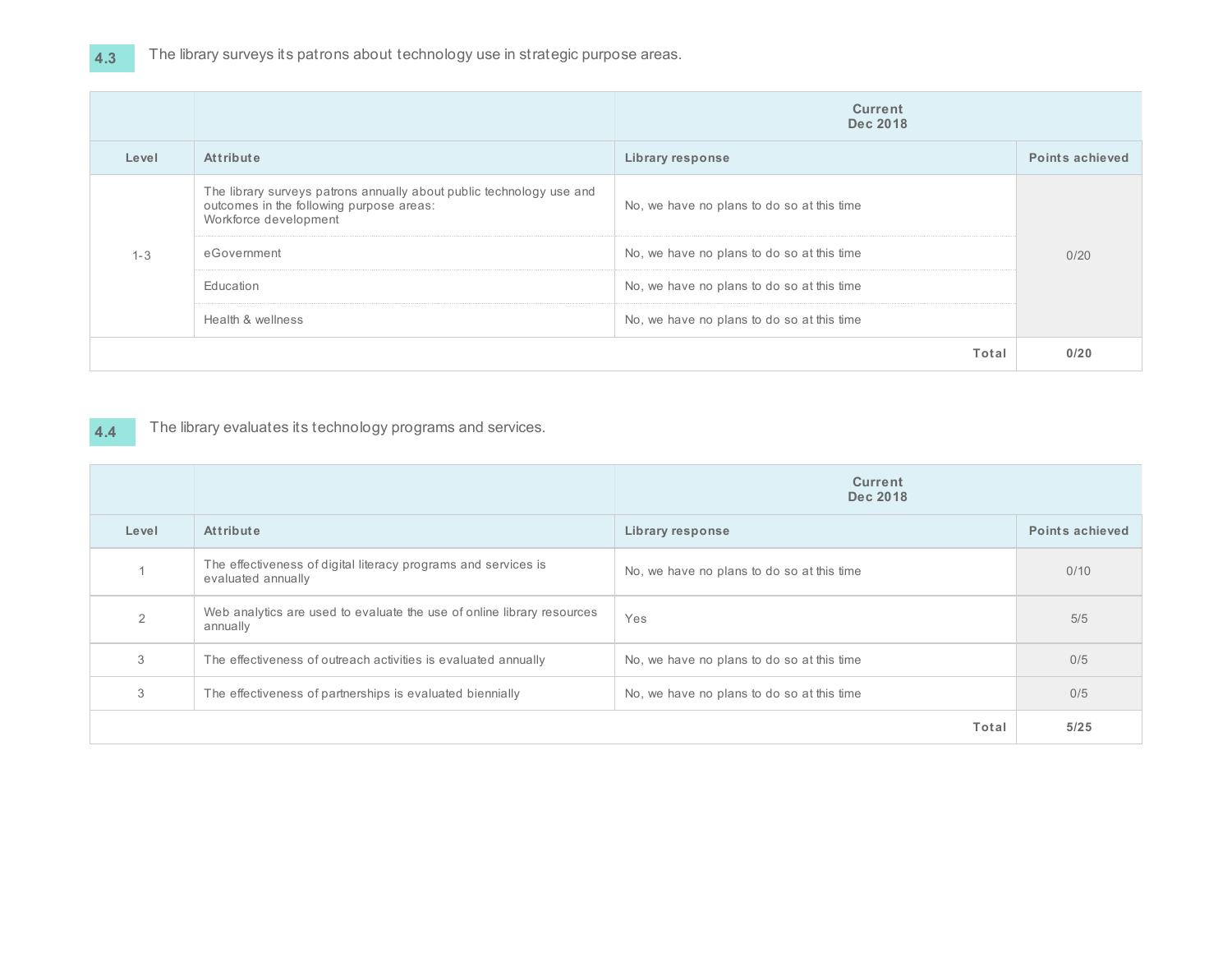|         |                                                                                                                                           | <b>Current</b><br>Dec 2018                 |                 |
|---------|-------------------------------------------------------------------------------------------------------------------------------------------|--------------------------------------------|-----------------|
| Level   | <b>Attribute</b>                                                                                                                          | Library response                           | Points achieved |
|         | The library surveys patrons annually about public technology use and<br>outcomes in the following purpose areas:<br>Workforce development | No, we have no plans to do so at this time | 0/20            |
| $1 - 3$ | eGovernment                                                                                                                               | No, we have no plans to do so at this time |                 |
|         | Education                                                                                                                                 | No, we have no plans to do so at this time |                 |
|         | Health & wellness                                                                                                                         | No, we have no plans to do so at this time |                 |
| Total   |                                                                                                                                           |                                            | 0/20            |

#### **4.4** The library evaluates its technology programs and services.

|       |                                                                                      | <b>Current</b><br>Dec 2018                 |                        |
|-------|--------------------------------------------------------------------------------------|--------------------------------------------|------------------------|
| Level | Attribute                                                                            | Library response                           | <b>Points achieved</b> |
|       | The effectiveness of digital literacy programs and services is<br>evaluated annually | No, we have no plans to do so at this time | 0/10                   |
|       | Web analytics are used to evaluate the use of online library resources<br>annually   | Yes                                        | 5/5                    |
| 3     | The effectiveness of outreach activities is evaluated annually                       | No, we have no plans to do so at this time | 0/5                    |
| 3     | The effectiveness of partnerships is evaluated biennially                            | No, we have no plans to do so at this time | 0/5                    |
|       |                                                                                      | Total                                      | 5/25                   |

**4.3**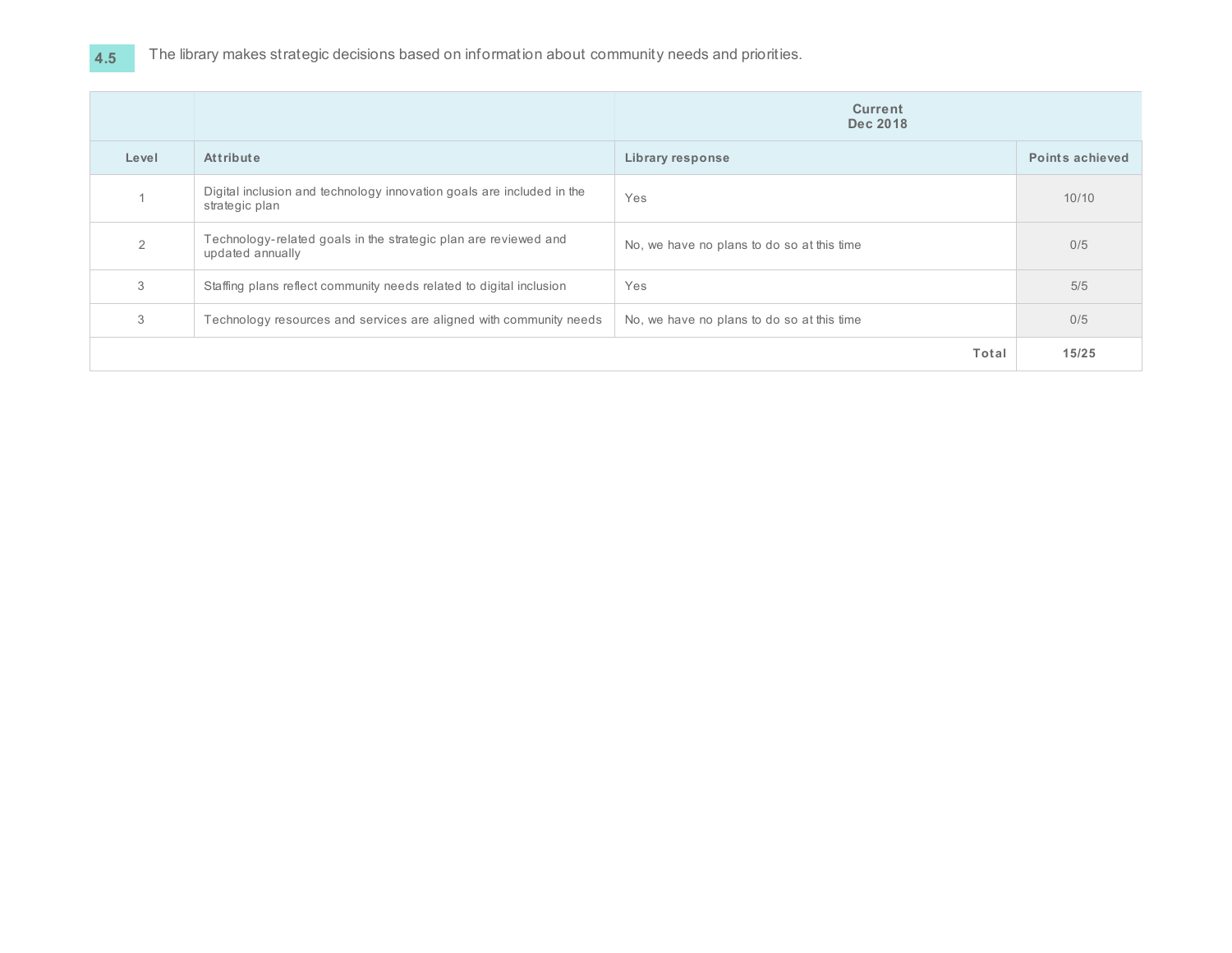|       |                                                                                         | <b>Current</b><br>Dec 2018                 |                 |
|-------|-----------------------------------------------------------------------------------------|--------------------------------------------|-----------------|
| Level | <b>Attribute</b>                                                                        | Library response                           | Points achieved |
|       | Digital inclusion and technology innovation goals are included in the<br>strategic plan | Yes                                        | 10/10           |
|       | Technology-related goals in the strategic plan are reviewed and<br>updated annually     | No, we have no plans to do so at this time | 0/5             |
| 3     | Staffing plans reflect community needs related to digital inclusion                     | Yes                                        | 5/5             |
| 3     | Technology resources and services are aligned with community needs                      | No, we have no plans to do so at this time | 0/5             |
|       |                                                                                         | Total                                      | 15/25           |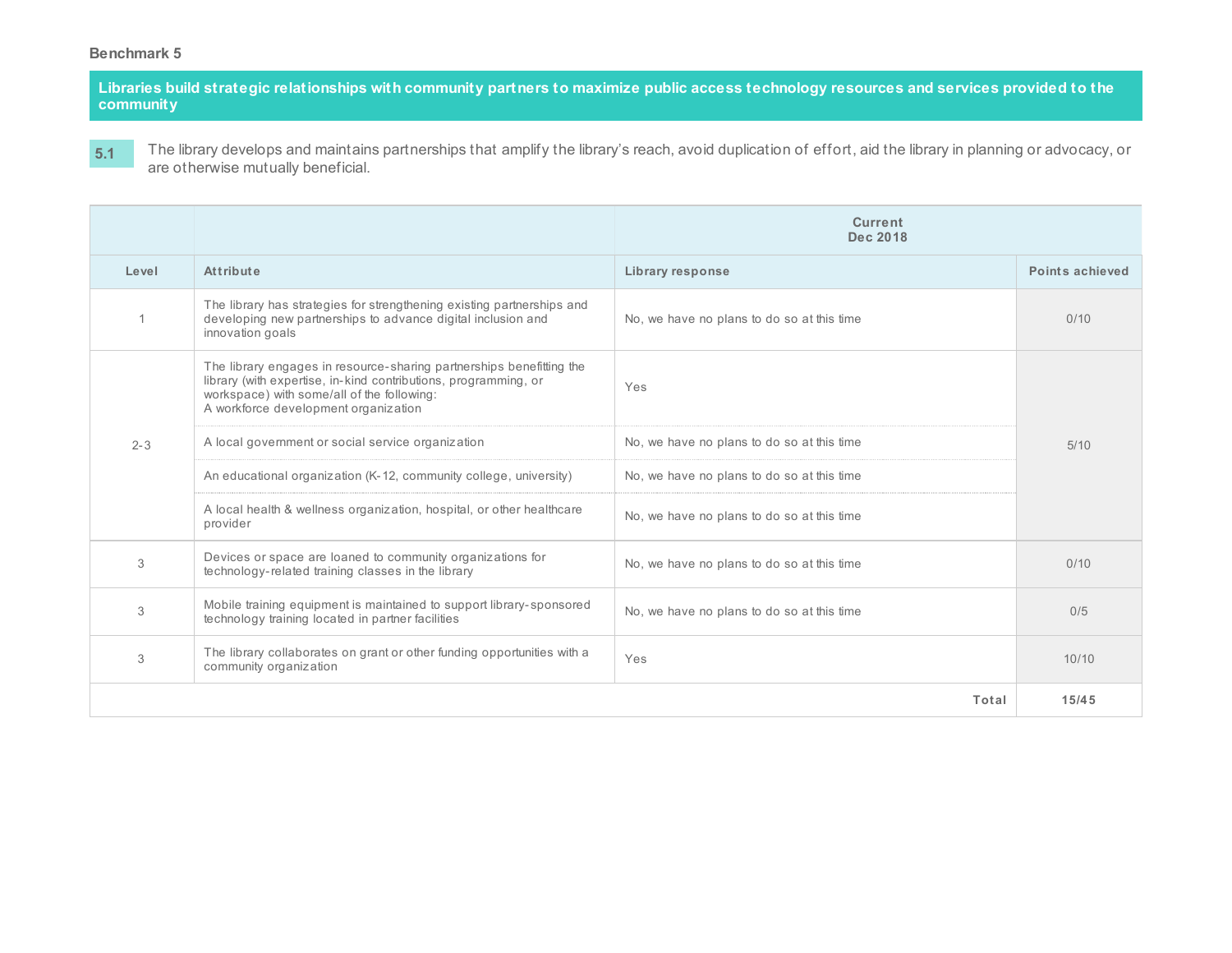Libraries build strategic relationships with community partners to maximize public access technology resources and services provided to the **community**

**5.1** The library develops and maintains partnerships that amplify the library's reach, avoid duplication of effort, aid the library in planning or advocacy, or are otherwise mutually beneficial.

|         |                                                                                                                                                                                                                               | Current<br>Dec 2018                        |                 |
|---------|-------------------------------------------------------------------------------------------------------------------------------------------------------------------------------------------------------------------------------|--------------------------------------------|-----------------|
| Level   | Attribute                                                                                                                                                                                                                     | Library response                           | Points achieved |
|         | The library has strategies for strengthening existing partnerships and<br>developing new partnerships to advance digital inclusion and<br>innovation goals                                                                    | No, we have no plans to do so at this time | 0/10            |
|         | The library engages in resource-sharing partnerships benefitting the<br>library (with expertise, in-kind contributions, programming, or<br>workspace) with some/all of the following:<br>A workforce development organization | Yes                                        |                 |
| $2 - 3$ | A local government or social service organization                                                                                                                                                                             | No, we have no plans to do so at this time | 5/10            |
|         | An educational organization (K-12, community college, university)                                                                                                                                                             | No, we have no plans to do so at this time |                 |
|         | A local health & wellness organization, hospital, or other healthcare<br>provider                                                                                                                                             | No, we have no plans to do so at this time |                 |
| 3       | Devices or space are loaned to community organizations for<br>technology-related training classes in the library                                                                                                              | No, we have no plans to do so at this time | 0/10            |
| 3       | Mobile training equipment is maintained to support library-sponsored<br>technology training located in partner facilities                                                                                                     | No, we have no plans to do so at this time | 0/5             |
| 3       | The library collaborates on grant or other funding opportunities with a<br>community organization                                                                                                                             | Yes                                        | 10/10           |
|         |                                                                                                                                                                                                                               | Total                                      | 15/45           |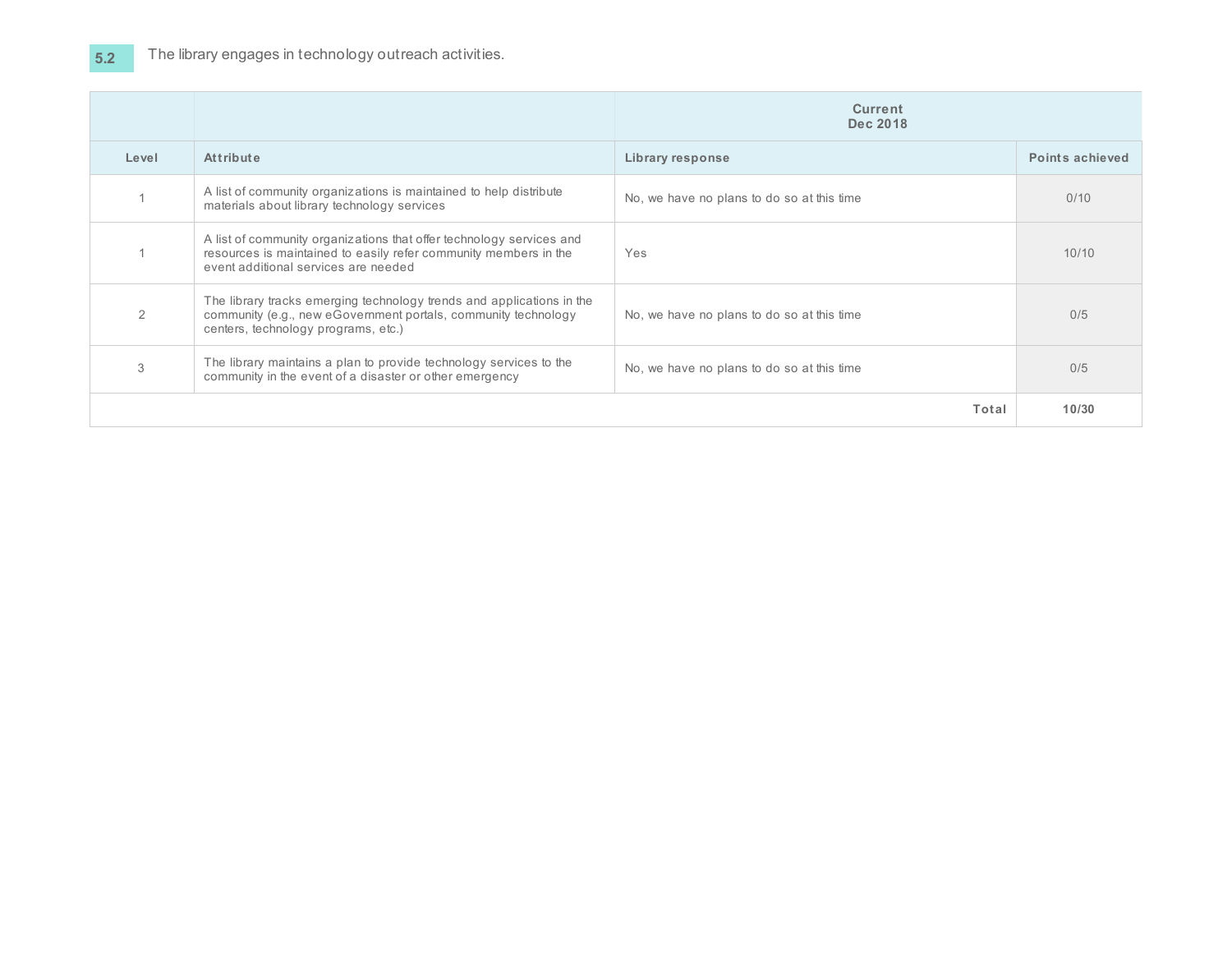|       |                                                                                                                                                                                  | <b>Current</b><br>Dec 2018                 |                 |
|-------|----------------------------------------------------------------------------------------------------------------------------------------------------------------------------------|--------------------------------------------|-----------------|
| Level | <b>Attribute</b>                                                                                                                                                                 | <b>Library response</b>                    | Points achieved |
|       | A list of community organizations is maintained to help distribute<br>materials about library technology services                                                                | No, we have no plans to do so at this time | 0/10            |
|       | A list of community organizations that offer technology services and<br>resources is maintained to easily refer community members in the<br>event additional services are needed | Yes                                        | 10/10           |
| 2     | The library tracks emerging technology trends and applications in the<br>community (e.g., new eGovernment portals, community technology<br>centers, technology programs, etc.)   | No, we have no plans to do so at this time | 0/5             |
| 3     | The library maintains a plan to provide technology services to the<br>community in the event of a disaster or other emergency                                                    | No, we have no plans to do so at this time | 0/5             |
|       |                                                                                                                                                                                  | Total                                      | 10/30           |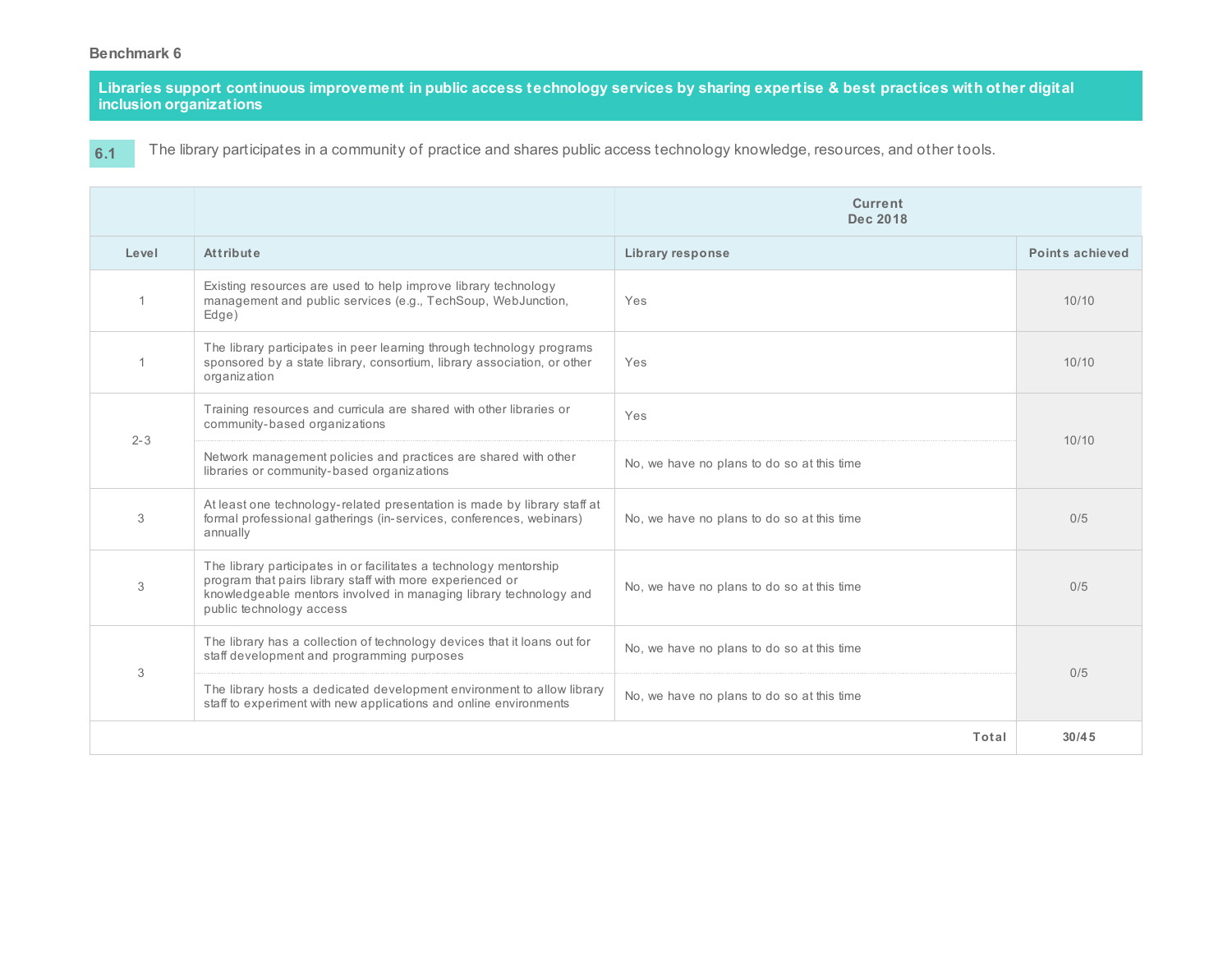Libraries support continuous improvement in public access technology services by sharing expertise & best practices with other digital **inclusion organizations**

**6.1**

The library participates in a community of practice and shares public access technology knowledge, resources, and other tools.

|              |                                                                                                                                                                                                                                  | Current<br>Dec 2018                        |                 |
|--------------|----------------------------------------------------------------------------------------------------------------------------------------------------------------------------------------------------------------------------------|--------------------------------------------|-----------------|
| Level        | Attribute                                                                                                                                                                                                                        | Library response                           | Points achieved |
| $\mathbf{1}$ | Existing resources are used to help improve library technology<br>management and public services (e.g., TechSoup, WebJunction,<br>Edge)                                                                                          | Yes                                        | 10/10           |
| $\mathbf{1}$ | The library participates in peer learning through technology programs<br>sponsored by a state library, consortium, library association, or other<br>organization                                                                 | Yes                                        | 10/10           |
| $2 - 3$      | Training resources and curricula are shared with other libraries or<br>community-based organizations                                                                                                                             | Yes                                        | 10/10           |
|              | Network management policies and practices are shared with other<br>libraries or community-based organizations                                                                                                                    | No, we have no plans to do so at this time |                 |
| 3            | At least one technology-related presentation is made by library staff at<br>formal professional gatherings (in-services, conferences, webinars)<br>annually                                                                      | No, we have no plans to do so at this time | 0/5             |
| 3            | The library participates in or facilitates a technology mentorship<br>program that pairs library staff with more experienced or<br>knowledgeable mentors involved in managing library technology and<br>public technology access | No, we have no plans to do so at this time | 0/5             |
| 3            | The library has a collection of technology devices that it loans out for<br>staff development and programming purposes                                                                                                           | No, we have no plans to do so at this time | 0/5             |
|              | The library hosts a dedicated development environment to allow library<br>staff to experiment with new applications and online environments                                                                                      | No, we have no plans to do so at this time |                 |
|              |                                                                                                                                                                                                                                  | Total                                      | 30/45           |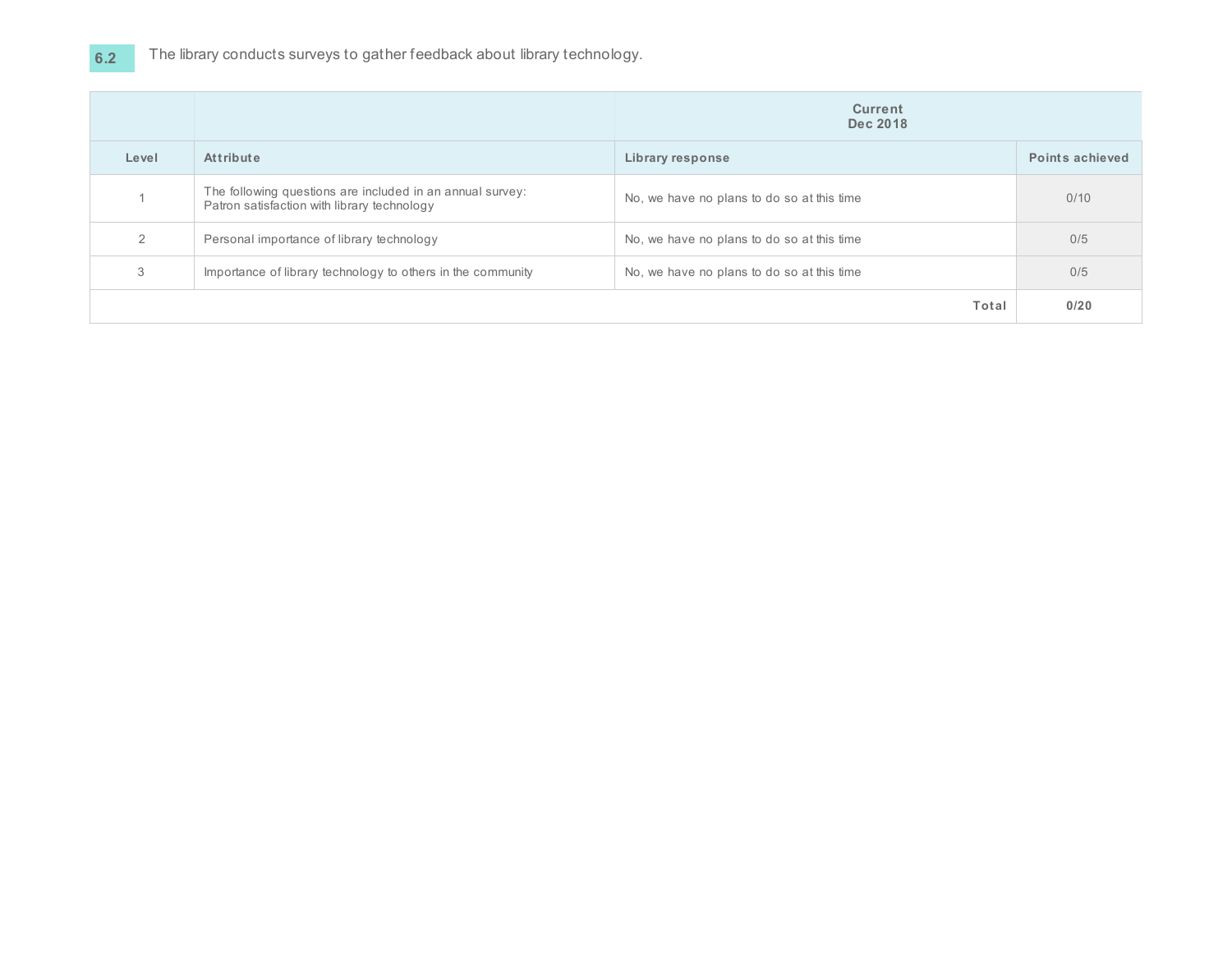## **6.2** The library conducts surveys to gather feedback about library technology.

|               |                                                                                                          | <b>Current</b><br>Dec 2018                 |                 |
|---------------|----------------------------------------------------------------------------------------------------------|--------------------------------------------|-----------------|
| Level         | <b>Attribute</b>                                                                                         | Library response                           | Points achieved |
|               | The following questions are included in an annual survey:<br>Patron satisfaction with library technology | No, we have no plans to do so at this time | 0/10            |
| $\mathcal{L}$ | Personal importance of library technology                                                                | No, we have no plans to do so at this time | 0/5             |
| 3             | Importance of library technology to others in the community                                              | No, we have no plans to do so at this time | 0/5             |
|               |                                                                                                          | Total                                      | 0/20            |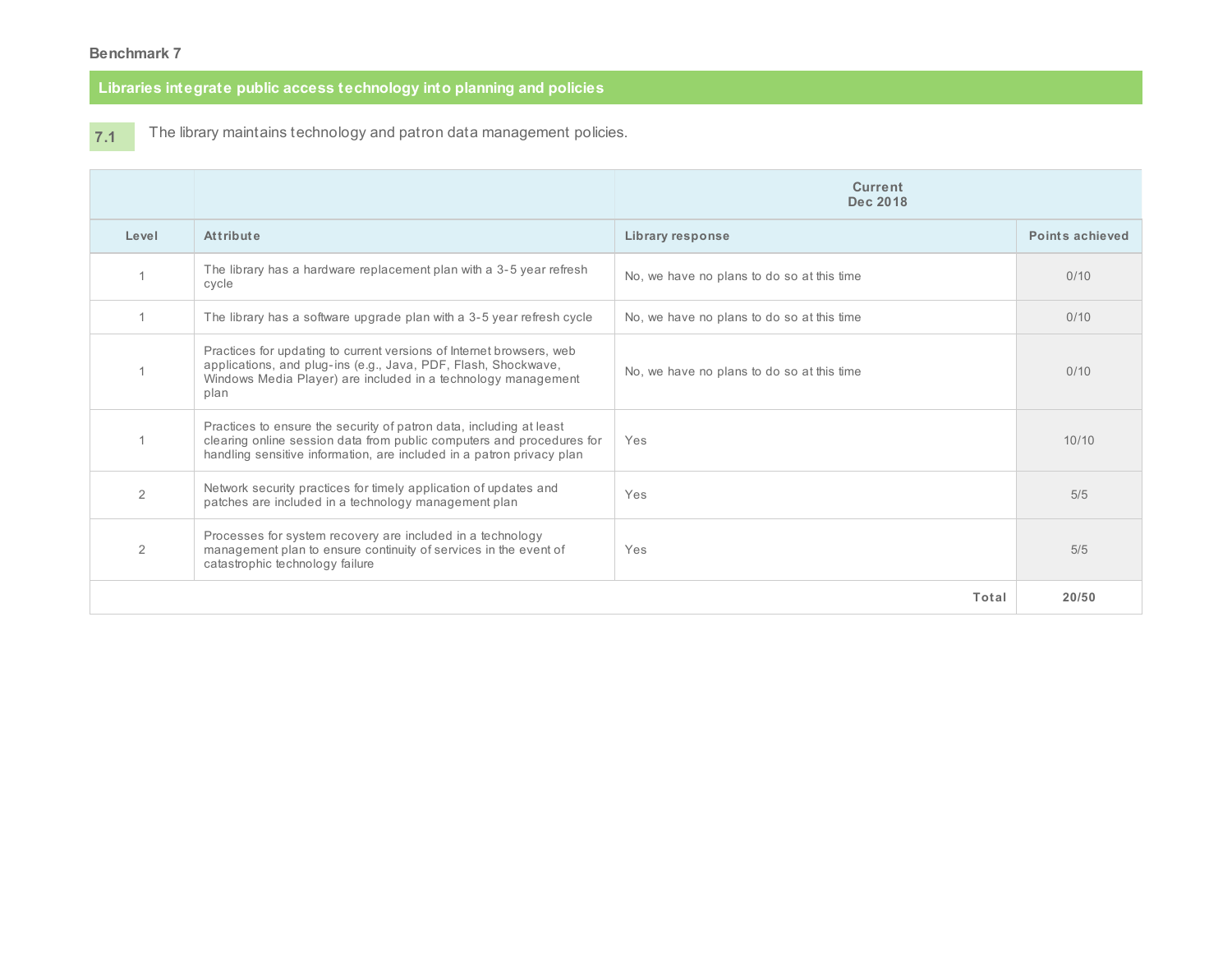## **Libraries integrate public access technology into planning and policies**

**7.1**

The library maintains technology and patron data management policies.

|                |                                                                                                                                                                                                                       | <b>Current</b><br>Dec 2018                 |                 |
|----------------|-----------------------------------------------------------------------------------------------------------------------------------------------------------------------------------------------------------------------|--------------------------------------------|-----------------|
| Level          | Attribute                                                                                                                                                                                                             | Library response                           | Points achieved |
|                | The library has a hardware replacement plan with a 3-5 year refresh<br>cycle                                                                                                                                          | No, we have no plans to do so at this time | 0/10            |
|                | The library has a software upgrade plan with a 3-5 year refresh cycle                                                                                                                                                 | No, we have no plans to do so at this time | 0/10            |
|                | Practices for updating to current versions of Internet browsers, web<br>applications, and plug-ins (e.g., Java, PDF, Flash, Shockwave,<br>Windows Media Player) are included in a technology management<br>plan       | No, we have no plans to do so at this time | 0/10            |
|                | Practices to ensure the security of patron data, including at least<br>clearing online session data from public computers and procedures for<br>handling sensitive information, are included in a patron privacy plan | Yes                                        | 10/10           |
| $\overline{2}$ | Network security practices for timely application of updates and<br>patches are included in a technology management plan                                                                                              | Yes                                        | 5/5             |
| 2              | Processes for system recovery are included in a technology<br>management plan to ensure continuity of services in the event of<br>catastrophic technology failure                                                     | Yes                                        | 5/5             |
|                |                                                                                                                                                                                                                       | Total                                      | 20/50           |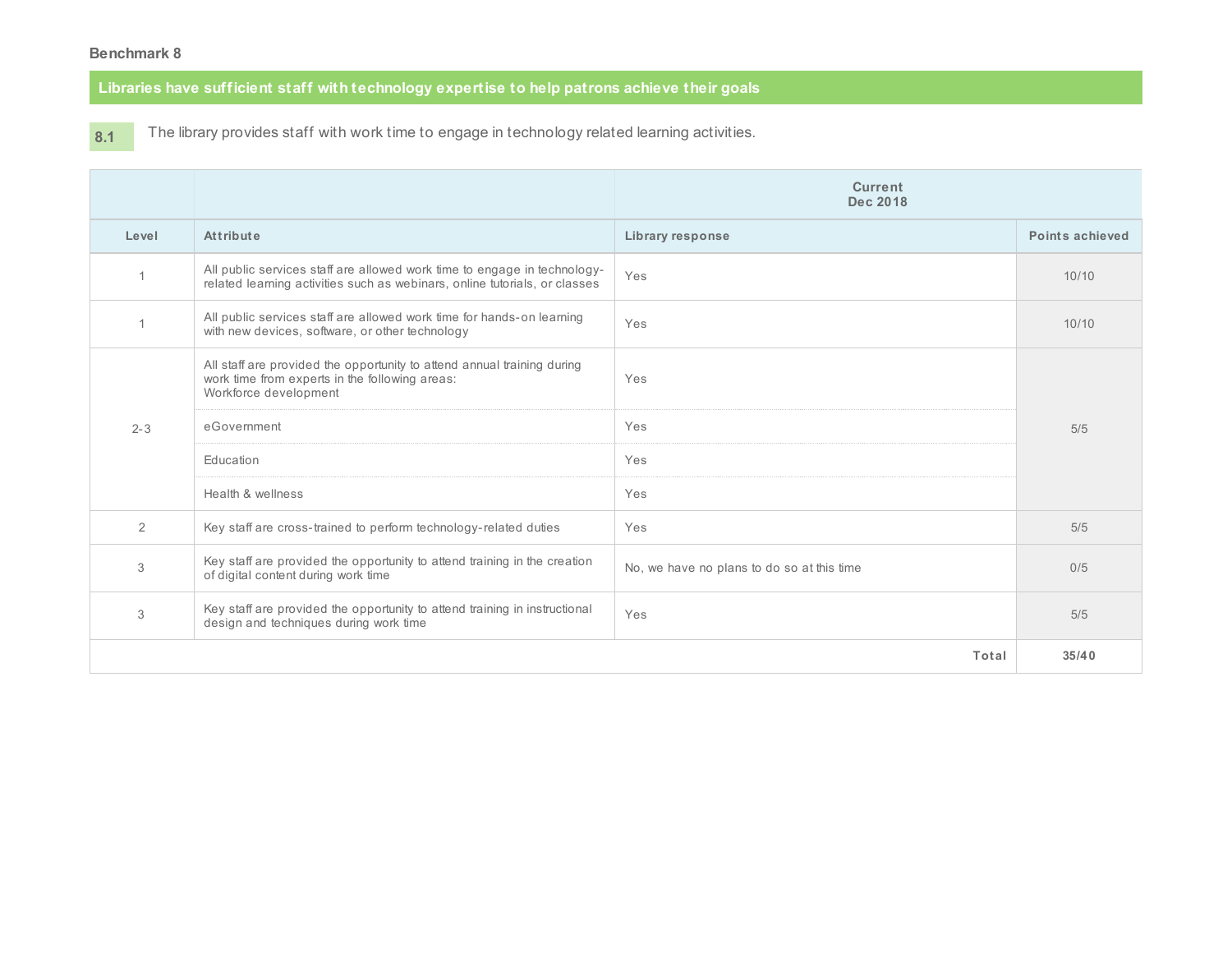## **Libraries have sufficient staff with technology expertise to help patrons achieve their goals**

**8.1** The library provides staff with work time to engage in technology related learning activities.

|                |                                                                                                                                                        | Current<br>Dec 2018                        |                        |
|----------------|--------------------------------------------------------------------------------------------------------------------------------------------------------|--------------------------------------------|------------------------|
| Level          | Attribute                                                                                                                                              | <b>Library response</b>                    | <b>Points achieved</b> |
|                | All public services staff are allowed work time to engage in technology-<br>related learning activities such as webinars, online tutorials, or classes | Yes                                        | 10/10                  |
|                | All public services staff are allowed work time for hands-on learning<br>with new devices, software, or other technology                               | Yes                                        | 10/10                  |
|                | All staff are provided the opportunity to attend annual training during<br>work time from experts in the following areas:<br>Workforce development     | Yes                                        |                        |
| $2 - 3$        | eGovernment                                                                                                                                            | Yes                                        | 5/5                    |
|                | Education                                                                                                                                              | Yes                                        |                        |
|                | Health & wellness                                                                                                                                      | Yes                                        |                        |
| $\overline{2}$ | Key staff are cross-trained to perform technology-related duties                                                                                       | Yes                                        | 5/5                    |
| 3              | Key staff are provided the opportunity to attend training in the creation<br>of digital content during work time                                       | No, we have no plans to do so at this time | 0/5                    |
| 3              | Key staff are provided the opportunity to attend training in instructional<br>design and techniques during work time                                   | Yes                                        | 5/5                    |
|                |                                                                                                                                                        | Total                                      | 35/40                  |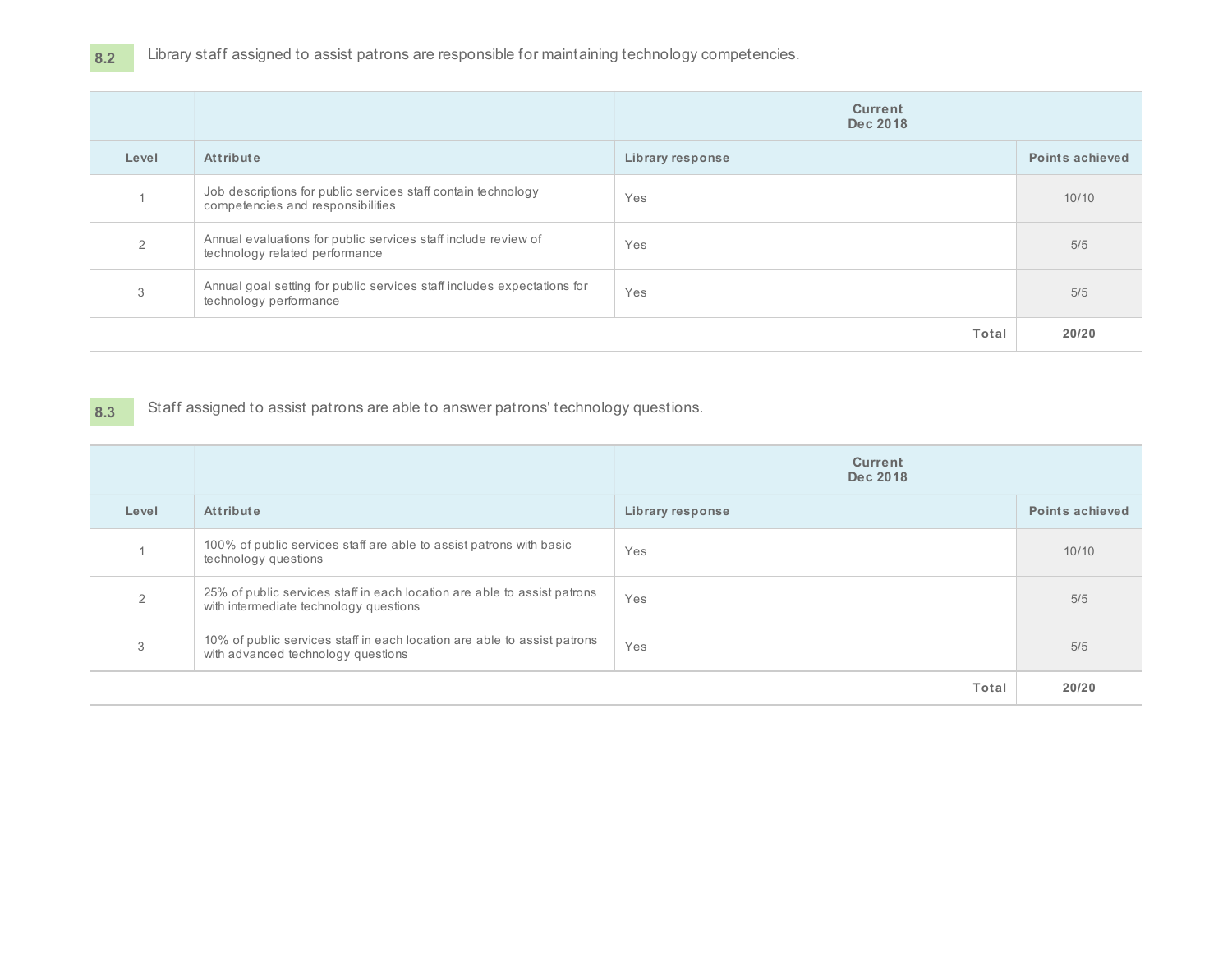Library staff assigned to assist patrons are responsible for maintaining technology competencies.

|       |                                                                                                    | <b>Current</b><br>Dec 2018 |                        |
|-------|----------------------------------------------------------------------------------------------------|----------------------------|------------------------|
| Level | Attribute                                                                                          | <b>Library response</b>    | <b>Points achieved</b> |
|       | Job descriptions for public services staff contain technology<br>competencies and responsibilities | Yes                        | 10/10                  |
| 2     | Annual evaluations for public services staff include review of<br>technology related performance   | Yes                        | 5/5                    |
| 3     | Annual goal setting for public services staff includes expectations for<br>technology performance  | Yes                        | 5/5                    |
| Total |                                                                                                    |                            | 20/20                  |

#### **8.3** Staff assigned to assist patrons are able to answer patrons' technology questions.

|       |                                                                                                                    | <b>Current</b><br>Dec 2018 |                        |
|-------|--------------------------------------------------------------------------------------------------------------------|----------------------------|------------------------|
| Level | <b>Attribute</b>                                                                                                   | Library response           | <b>Points achieved</b> |
|       | 100% of public services staff are able to assist patrons with basic<br>technology questions                        | Yes                        | 10/10                  |
|       | 25% of public services staff in each location are able to assist patrons<br>with intermediate technology questions | Yes                        | 5/5                    |
| 3     | 10% of public services staff in each location are able to assist patrons<br>with advanced technology questions     | Yes                        | 5/5                    |
| Total |                                                                                                                    |                            | 20/20                  |

**8.2**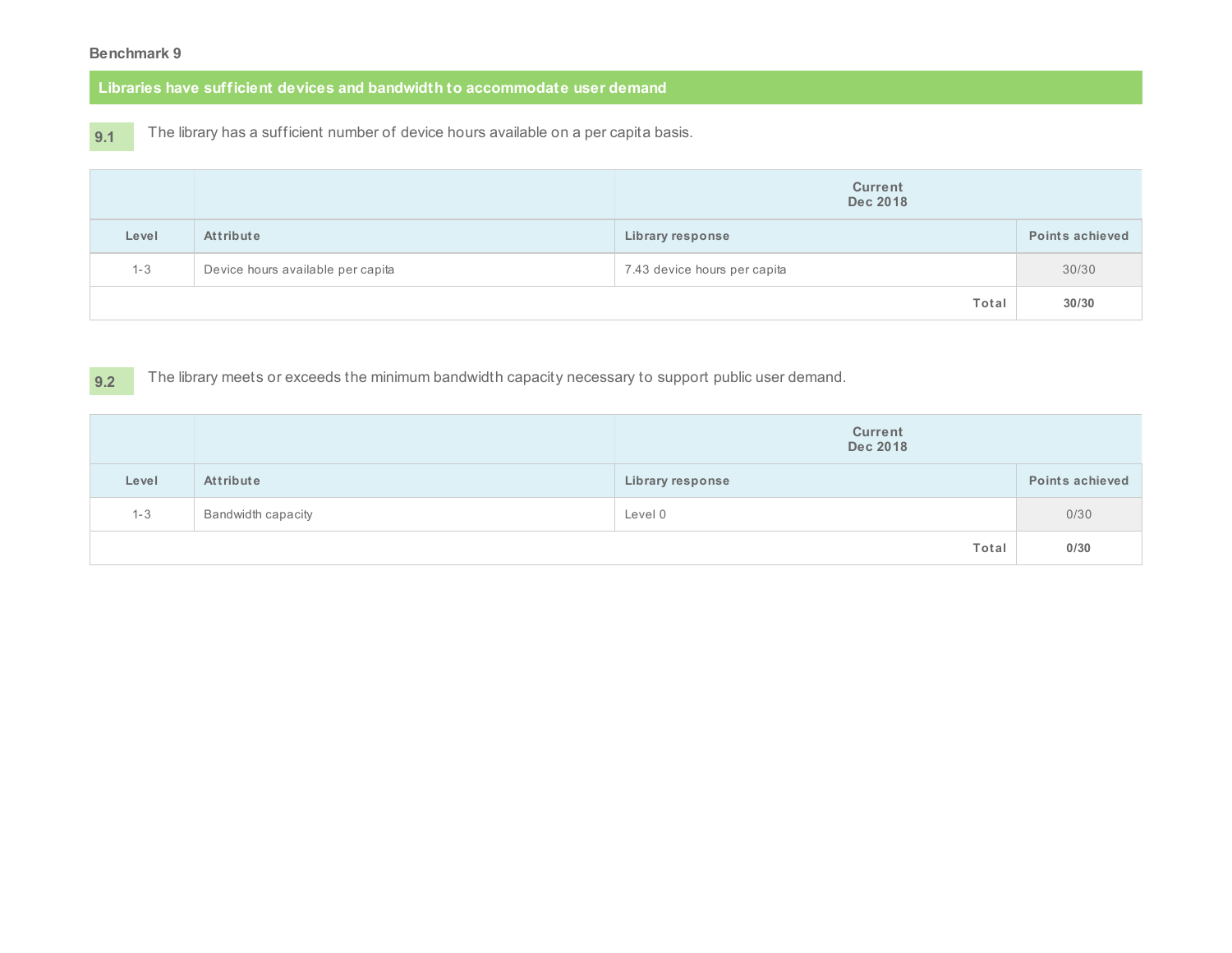**Libraries have sufficient devices and bandwidth to accommodate user demand**

**9.1**

The library has a sufficient number of device hours available on a per capita basis.

|         |                                   | <b>Current</b><br><b>Dec 2018</b> |                 |  |  |
|---------|-----------------------------------|-----------------------------------|-----------------|--|--|
| Level   | <b>Attribute</b>                  | <b>Library response</b>           | Points achieved |  |  |
| $1 - 3$ | Device hours available per capita | 7.43 device hours per capita      | 30/30           |  |  |
|         |                                   | Total                             | 30/30           |  |  |

**9.2** The library meets or exceeds the minimum bandwidth capacity necessary to support public user demand.

|         |                    | <b>Current</b><br><b>Dec 2018</b> |                 |  |
|---------|--------------------|-----------------------------------|-----------------|--|
| Level   | Attribute          | <b>Library response</b>           | Points achieved |  |
| $1 - 3$ | Bandwidth capacity | Level 0                           | 0/30            |  |
|         |                    | Total                             | 0/30            |  |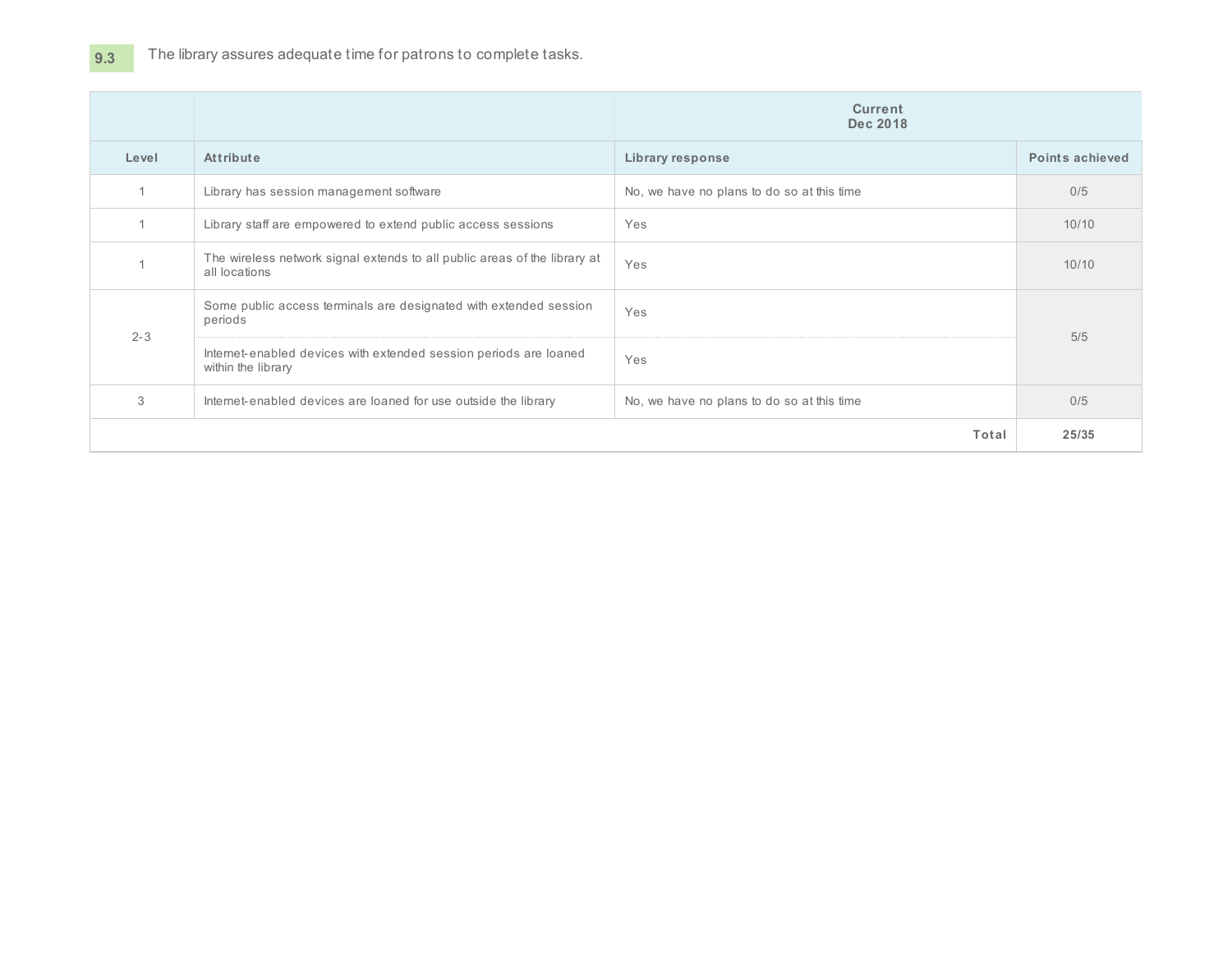|         |                                                                                                               | <b>Current</b><br>Dec 2018                 |                 |  |  |
|---------|---------------------------------------------------------------------------------------------------------------|--------------------------------------------|-----------------|--|--|
| Level   | <b>Attribute</b>                                                                                              | Library response                           | Points achieved |  |  |
|         | Library has session management software                                                                       | No, we have no plans to do so at this time | 0/5             |  |  |
|         | Library staff are empowered to extend public access sessions                                                  | Yes                                        | 10/10           |  |  |
|         | The wireless network signal extends to all public areas of the library at<br>all locations                    | Yes                                        | 10/10           |  |  |
| $2 - 3$ | Some public access terminals are designated with extended session<br>periods                                  | Yes                                        | 5/5             |  |  |
|         | Internet-enabled devices with extended session periods are loaned<br>within the library                       | Yes                                        |                 |  |  |
| 3       | Internet-enabled devices are loaned for use outside the library<br>No, we have no plans to do so at this time |                                            | 0/5             |  |  |
|         |                                                                                                               | Total                                      | 25/35           |  |  |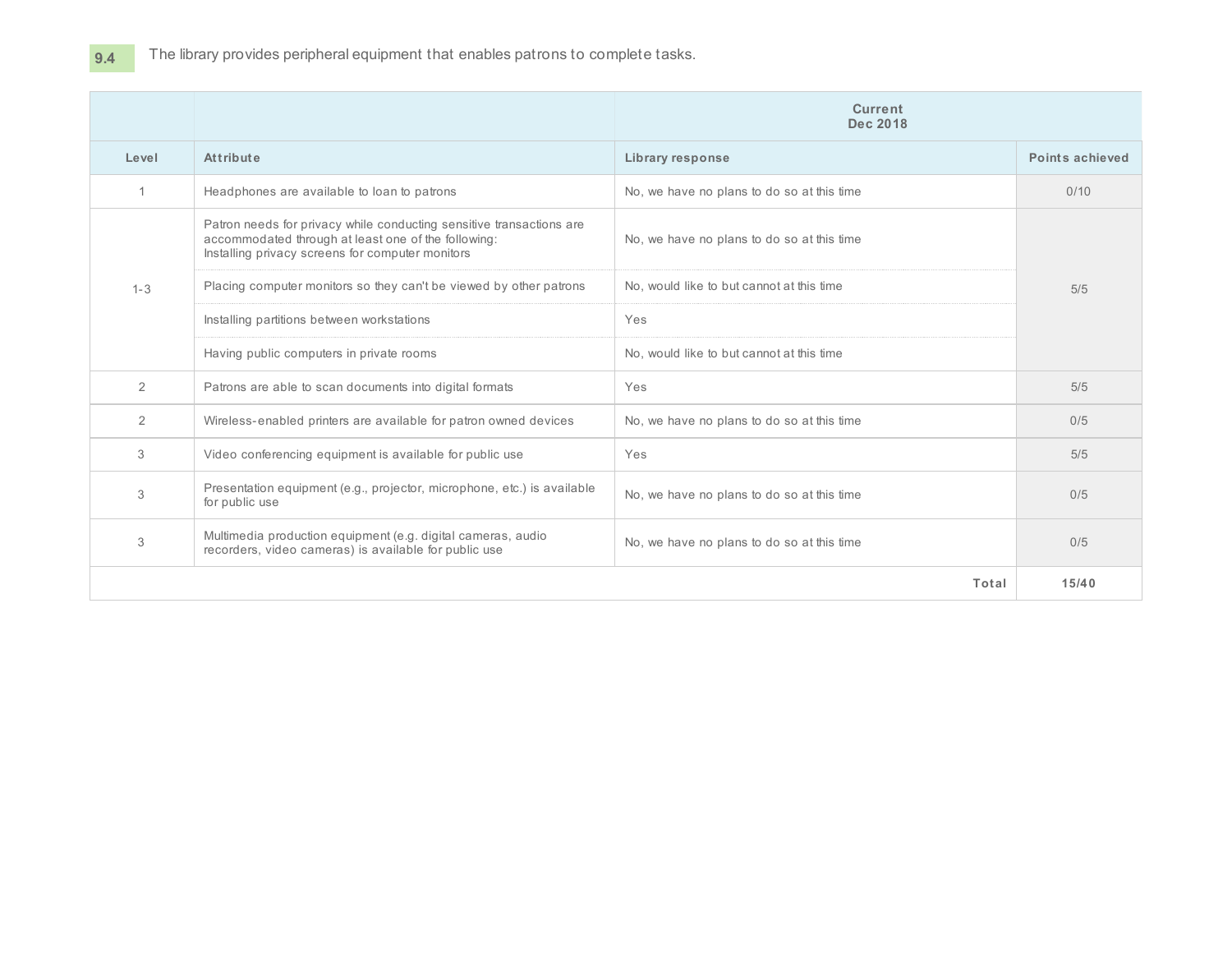|                                          |                                                                                                                                                                                 | <b>Current</b><br>Dec 2018                 |                 |  |
|------------------------------------------|---------------------------------------------------------------------------------------------------------------------------------------------------------------------------------|--------------------------------------------|-----------------|--|
| Level                                    | Attribute                                                                                                                                                                       | <b>Library response</b>                    | Points achieved |  |
| $\mathbf{1}$                             | Headphones are available to loan to patrons                                                                                                                                     | No, we have no plans to do so at this time | 0/10            |  |
|                                          | Patron needs for privacy while conducting sensitive transactions are<br>accommodated through at least one of the following:<br>Installing privacy screens for computer monitors | No, we have no plans to do so at this time |                 |  |
| $1 - 3$                                  | Placing computer monitors so they can't be viewed by other patrons                                                                                                              | No, would like to but cannot at this time  | 5/5             |  |
|                                          | Installing partitions between workstations                                                                                                                                      | Yes                                        |                 |  |
| Having public computers in private rooms |                                                                                                                                                                                 | No, would like to but cannot at this time  |                 |  |
| $\overline{2}$                           | Patrons are able to scan documents into digital formats                                                                                                                         | Yes                                        | 5/5             |  |
| $\overline{2}$                           | Wireless-enabled printers are available for patron owned devices                                                                                                                | No, we have no plans to do so at this time | 0/5             |  |
| 3                                        | Video conferencing equipment is available for public use                                                                                                                        | Yes                                        | 5/5             |  |
| 3                                        | Presentation equipment (e.g., projector, microphone, etc.) is available<br>for public use                                                                                       | No, we have no plans to do so at this time | 0/5             |  |
| 3                                        | Multimedia production equipment (e.g. digital cameras, audio<br>recorders, video cameras) is available for public use                                                           | No, we have no plans to do so at this time | 0/5             |  |
|                                          |                                                                                                                                                                                 | Total                                      | 15/40           |  |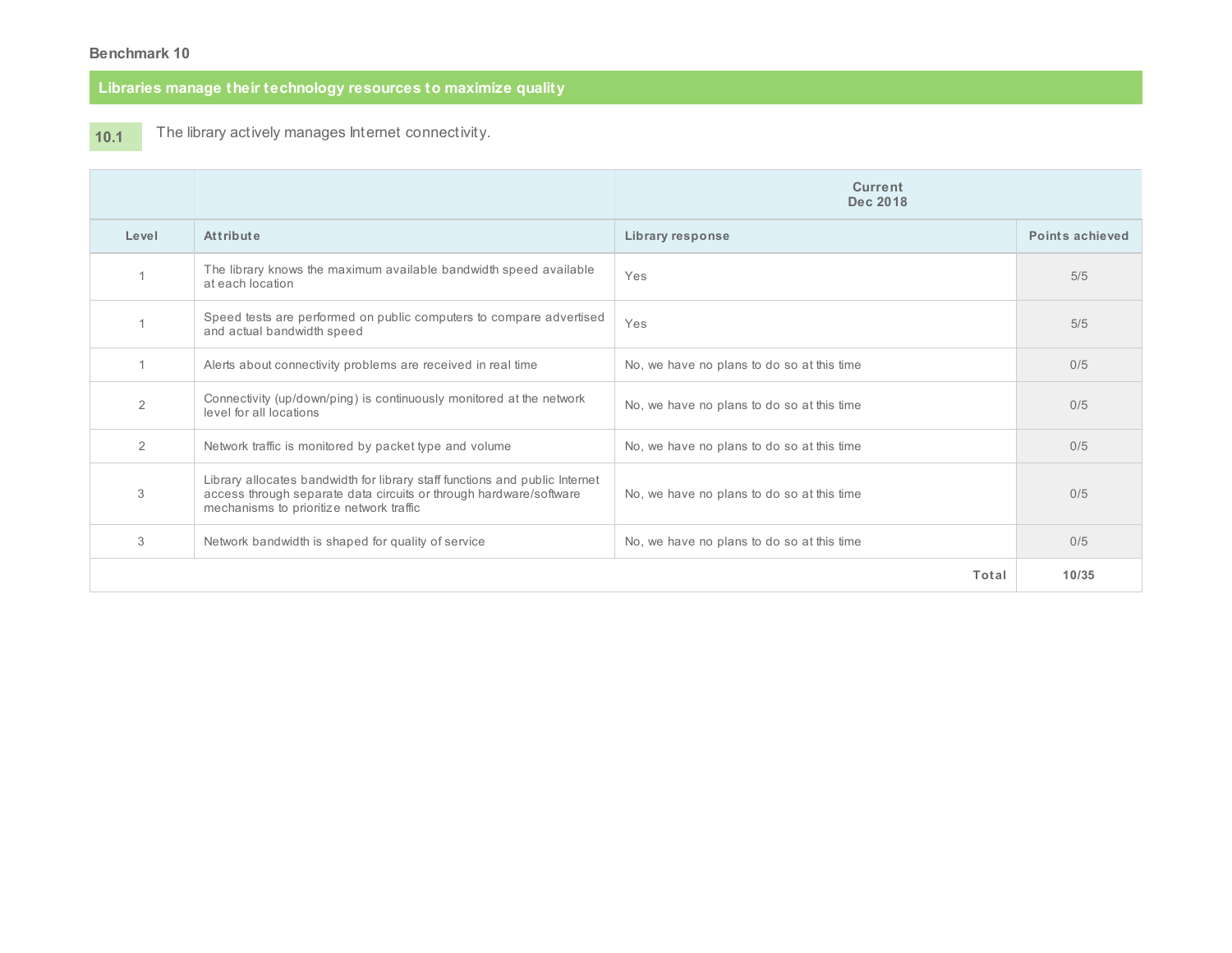## **Libraries manage their technology resources to maximize quality**

#### **10.1** The library actively manages Internet connectivity.

|       |                                                                                                                                                                                               | Current<br>Dec 2018                        |                 |  |  |  |
|-------|-----------------------------------------------------------------------------------------------------------------------------------------------------------------------------------------------|--------------------------------------------|-----------------|--|--|--|
| Level | Attribute                                                                                                                                                                                     | Library response                           | Points achieved |  |  |  |
|       | The library knows the maximum available bandwidth speed available<br>at each location                                                                                                         | Yes                                        | 5/5             |  |  |  |
|       | Speed tests are performed on public computers to compare advertised<br>and actual bandwidth speed                                                                                             | Yes                                        |                 |  |  |  |
|       | Alerts about connectivity problems are received in real time                                                                                                                                  | No, we have no plans to do so at this time | 0/5             |  |  |  |
| 2     | Connectivity (up/down/ping) is continuously monitored at the network<br>level for all locations                                                                                               | No, we have no plans to do so at this time | 0/5             |  |  |  |
| 2     | Network traffic is monitored by packet type and volume                                                                                                                                        | No, we have no plans to do so at this time | 0/5             |  |  |  |
| 3     | Library allocates bandwidth for library staff functions and public Internet<br>access through separate data circuits or through hardware/software<br>mechanisms to prioritize network traffic | No, we have no plans to do so at this time | 0/5             |  |  |  |
| 3     | Network bandwidth is shaped for quality of service                                                                                                                                            | No, we have no plans to do so at this time | 0/5             |  |  |  |
|       |                                                                                                                                                                                               | Total                                      | 10/35           |  |  |  |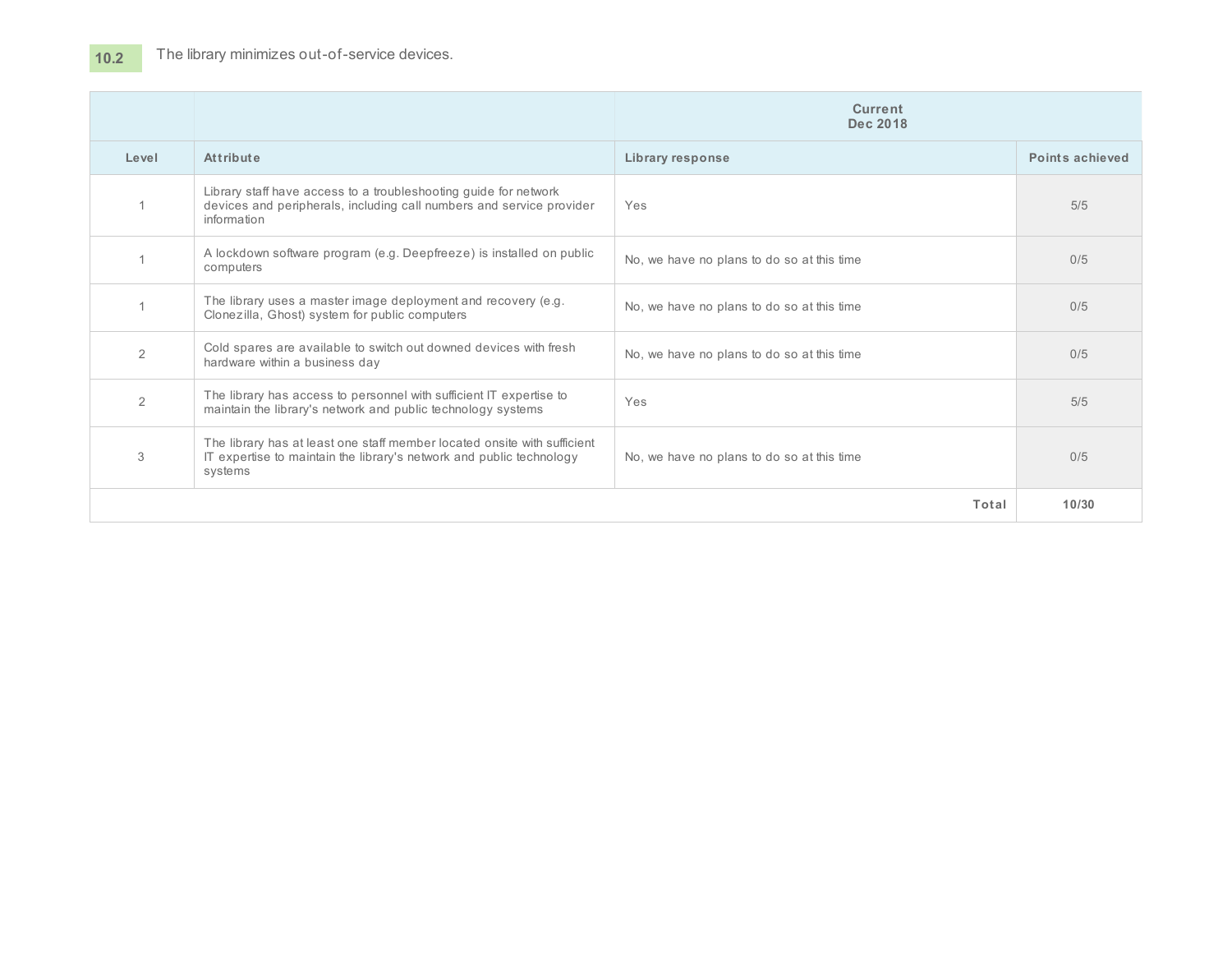|                |                                                                                                                                                             | <b>Current</b><br>Dec 2018                 |                 |  |  |
|----------------|-------------------------------------------------------------------------------------------------------------------------------------------------------------|--------------------------------------------|-----------------|--|--|
| Level          | Attribute                                                                                                                                                   | <b>Library response</b>                    | Points achieved |  |  |
|                | Library staff have access to a troubleshooting guide for network<br>devices and peripherals, including call numbers and service provider<br>information     | Yes                                        | 5/5             |  |  |
|                | A lockdown software program (e.g. Deepfreeze) is installed on public<br>computers                                                                           | No, we have no plans to do so at this time | 0/5             |  |  |
|                | The library uses a master image deployment and recovery (e.g.<br>Clonezilla, Ghost) system for public computers                                             | No, we have no plans to do so at this time | 0/5             |  |  |
| $\overline{2}$ | Cold spares are available to switch out downed devices with fresh<br>hardware within a business day                                                         | No, we have no plans to do so at this time | 0/5             |  |  |
| 2              | The library has access to personnel with sufficient IT expertise to<br>maintain the library's network and public technology systems                         | Yes                                        | 5/5             |  |  |
| 3              | The library has at least one staff member located onsite with sufficient<br>IT expertise to maintain the library's network and public technology<br>systems | No, we have no plans to do so at this time | 0/5             |  |  |
|                |                                                                                                                                                             | Total                                      | 10/30           |  |  |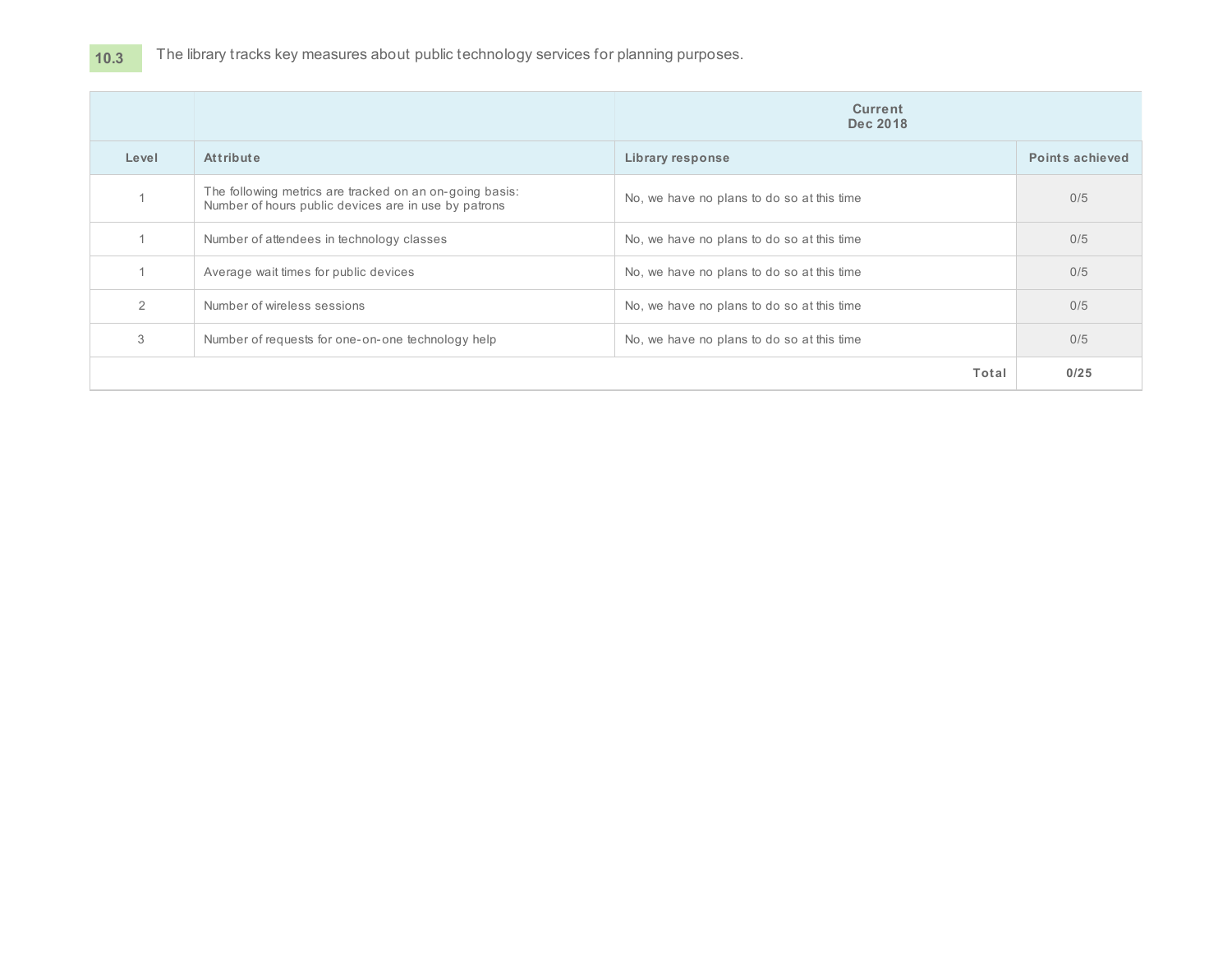## 10.3 The library tracks key measures about public technology services for planning purposes.

|       |                                                                                                                                                               | <b>Current</b><br>Dec 2018                 |                 |  |
|-------|---------------------------------------------------------------------------------------------------------------------------------------------------------------|--------------------------------------------|-----------------|--|
| Level | Attribute                                                                                                                                                     | Library response                           | Points achieved |  |
|       | The following metrics are tracked on an on-going basis:<br>No, we have no plans to do so at this time<br>Number of hours public devices are in use by patrons |                                            | 0/5             |  |
|       | Number of attendees in technology classes                                                                                                                     | No, we have no plans to do so at this time | 0/5             |  |
|       | Average wait times for public devices                                                                                                                         | No, we have no plans to do so at this time | 0/5             |  |
| 2     | Number of wireless sessions                                                                                                                                   | No, we have no plans to do so at this time |                 |  |
| 3     | Number of requests for one-on-one technology help<br>No, we have no plans to do so at this time                                                               |                                            | 0/5             |  |
|       |                                                                                                                                                               | Total                                      | 0/25            |  |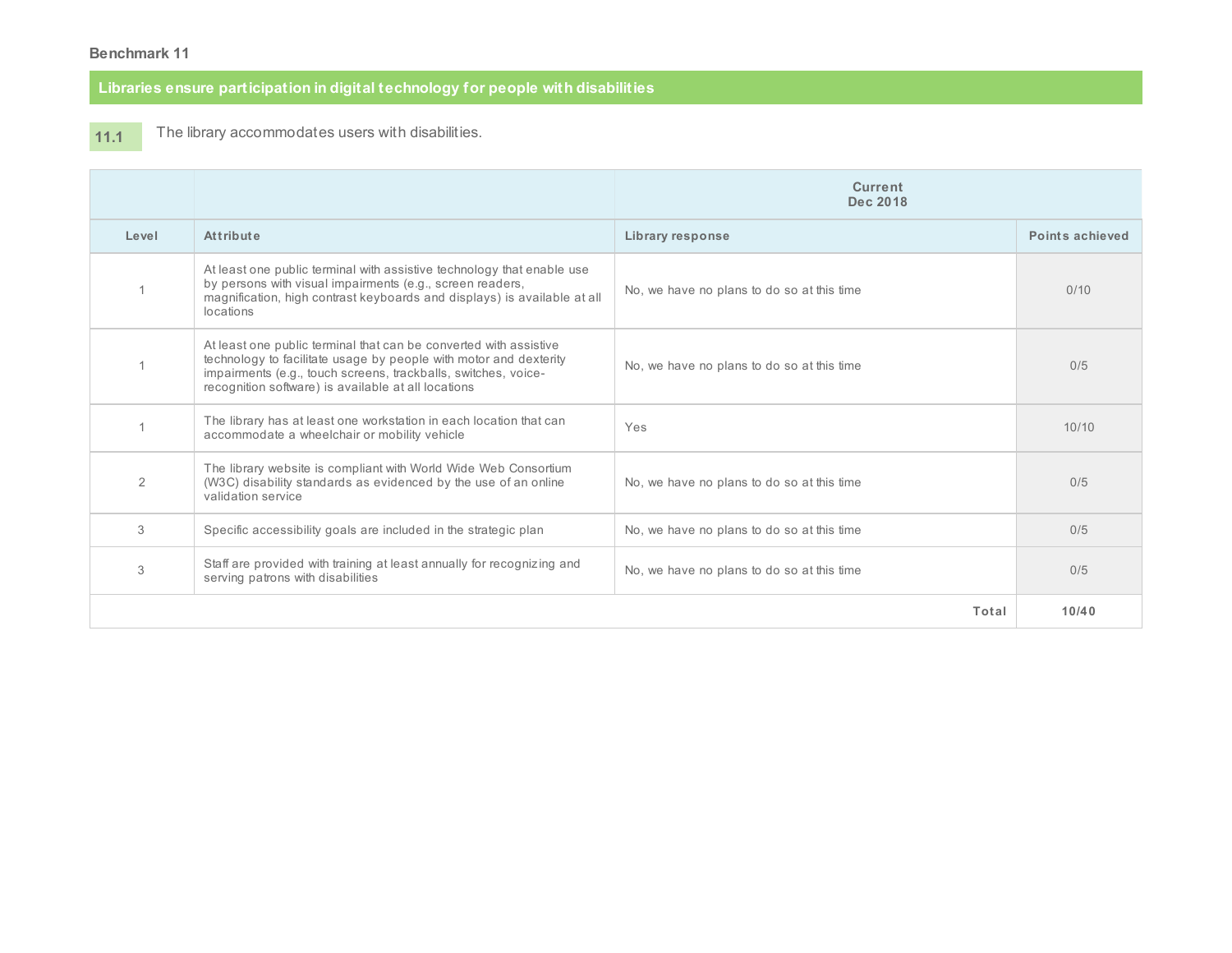## **Libraries ensure participation in digital technology for people with disabilities**

#### **11.1** The library accommodates users with disabilities.

|       |                                                                                                                                                                                                                                                                 | <b>Current</b><br>Dec 2018                 |                 |  |  |
|-------|-----------------------------------------------------------------------------------------------------------------------------------------------------------------------------------------------------------------------------------------------------------------|--------------------------------------------|-----------------|--|--|
| Level | Attribute                                                                                                                                                                                                                                                       | Library response                           | Points achieved |  |  |
|       | At least one public terminal with assistive technology that enable use<br>by persons with visual impairments (e.g., screen readers,<br>magnification, high contrast keyboards and displays) is available at all<br>locations                                    | No, we have no plans to do so at this time | 0/10            |  |  |
|       | At least one public terminal that can be converted with assistive<br>technology to facilitate usage by people with motor and dexterity<br>impairments (e.g., touch screens, trackballs, switches, voice-<br>recognition software) is available at all locations | 0/5                                        |                 |  |  |
|       | The library has at least one workstation in each location that can<br>accommodate a wheelchair or mobility vehicle                                                                                                                                              | Yes                                        | 10/10           |  |  |
| 2     | The library website is compliant with World Wide Web Consortium<br>(W3C) disability standards as evidenced by the use of an online<br>validation service                                                                                                        | No, we have no plans to do so at this time | 0/5             |  |  |
| 3     | Specific accessibility goals are included in the strategic plan                                                                                                                                                                                                 | No, we have no plans to do so at this time | 0/5             |  |  |
| 3     | Staff are provided with training at least annually for recognizing and<br>No, we have no plans to do so at this time<br>serving patrons with disabilities                                                                                                       |                                            | 0/5             |  |  |
|       |                                                                                                                                                                                                                                                                 | Total                                      | 10/40           |  |  |